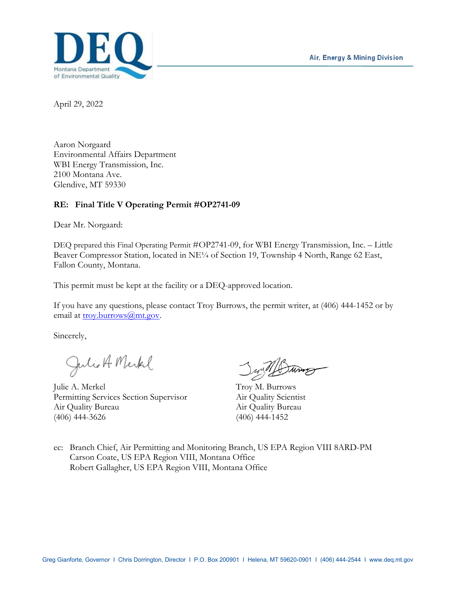

April 29, 2022

Aaron Norgaard Environmental Affairs Department WBI Energy Transmission, Inc. 2100 Montana Ave. Glendive, MT 59330

# **RE: Final Title V Operating Permit #OP2741-09**

Dear Mr. Norgaard:

DEQ prepared this Final Operating Permit #OP2741-09, for WBI Energy Transmission, Inc. – Little Beaver Compressor Station, located in NE<sup>1/4</sup> of Section 19, Township 4 North, Range 62 East, Fallon County, Montana.

This permit must be kept at the facility or a DEQ-approved location.

If you have any questions, please contact Troy Burrows, the permit writer, at (406) 444-1452 or by email at [troy.burrows@mt.gov.](mailto:troy.burrows@mt.gov)

Sincerely,

Julie A. Merkel Just Duy 165

Permitting Services Section Supervisor Air Quality Scientist Air Quality Bureau Air Quality Bureau (406) 444-3626 (406) 444-1452

Jurill During

ec: Branch Chief, Air Permitting and Monitoring Branch, US EPA Region VIII 8ARD-PM Carson Coate, US EPA Region VIII, Montana Office Robert Gallagher, US EPA Region VIII, Montana Office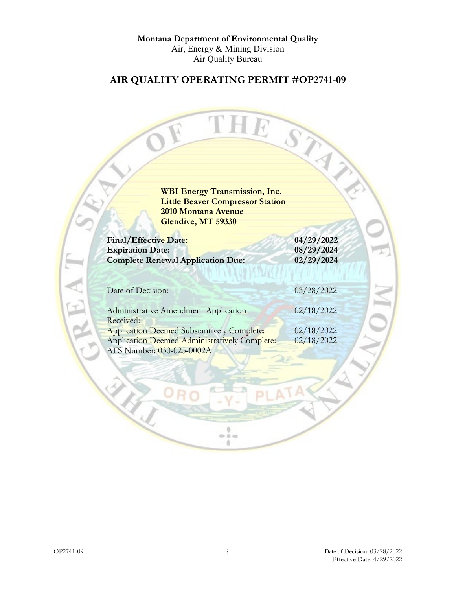**Montana Department of Environmental Quality** Air, Energy & Mining Division Air Quality Bureau

# **AIR QUALITY OPERATING PERMIT #OP2741-09**

TH

Ю

**WBI Energy Transmission, Inc. Little Beaver Compressor Station 2010 Montana Avenue Glendive, MT 59330**

| Final/Effective Date:<br><b>Expiration Date:</b><br><b>Complete Renewal Application Due:</b> | 04/29/2022<br>08/29/2024<br>02/29/2024 |
|----------------------------------------------------------------------------------------------|----------------------------------------|
| Date of Decision:                                                                            | 03/28/2022                             |
| Administrative Amendment Application                                                         | 02/18/2022                             |
| Received:<br><b>Application Deemed Substantively Complete:</b>                               | 02/18/2022                             |
| <b>Application Deemed Administratively Complete:</b><br>AFS Number: 030-025-0002A            | 02/18/2022                             |

 $\frac{1}{2}$ ä.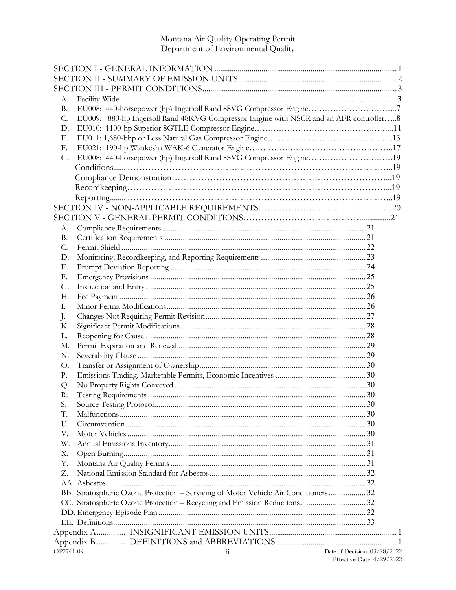# Montana Air Quality Operating Permit<br>Department of Environmental Quality

| А.        |                                                                                       |                              |  |
|-----------|---------------------------------------------------------------------------------------|------------------------------|--|
| <b>B.</b> |                                                                                       |                              |  |
| C.        | EU009: 880-hp Ingersoll Rand 48KVG Compressor Engine with NSCR and an AFR controller8 |                              |  |
| D.        |                                                                                       |                              |  |
| Е.        |                                                                                       |                              |  |
| F.        |                                                                                       |                              |  |
| G.        | EU008: 440-horsepower (hp) Ingersoll Rand 8SVG Compressor Engine19                    |                              |  |
|           |                                                                                       |                              |  |
|           |                                                                                       |                              |  |
|           |                                                                                       |                              |  |
|           |                                                                                       |                              |  |
|           |                                                                                       |                              |  |
|           |                                                                                       |                              |  |
| А.        |                                                                                       |                              |  |
| <b>B.</b> |                                                                                       |                              |  |
| C.        |                                                                                       |                              |  |
| D.        |                                                                                       |                              |  |
| Е.        |                                                                                       |                              |  |
|           |                                                                                       |                              |  |
| F.        |                                                                                       |                              |  |
| G.        |                                                                                       |                              |  |
| Н.        |                                                                                       |                              |  |
| Ι.        |                                                                                       |                              |  |
| J.        |                                                                                       |                              |  |
| Κ.        |                                                                                       |                              |  |
| L.        |                                                                                       |                              |  |
| М.        |                                                                                       |                              |  |
| N.        |                                                                                       |                              |  |
| O.        |                                                                                       |                              |  |
| Ρ.        |                                                                                       |                              |  |
| Q.        |                                                                                       |                              |  |
| R.        |                                                                                       |                              |  |
| S.        |                                                                                       |                              |  |
| T.        |                                                                                       |                              |  |
| U.        |                                                                                       |                              |  |
| V.        |                                                                                       |                              |  |
| W.        |                                                                                       |                              |  |
| Х.        |                                                                                       |                              |  |
| Υ.        |                                                                                       |                              |  |
| Z.        |                                                                                       |                              |  |
|           |                                                                                       |                              |  |
|           | BB. Stratospheric Ozone Protection - Servicing of Motor Vehicle Air Conditioners 32   |                              |  |
|           |                                                                                       |                              |  |
|           |                                                                                       |                              |  |
|           |                                                                                       |                              |  |
|           |                                                                                       |                              |  |
|           |                                                                                       |                              |  |
| OP2741-09 | $11\,$                                                                                | Date of Decision: 03/28/2022 |  |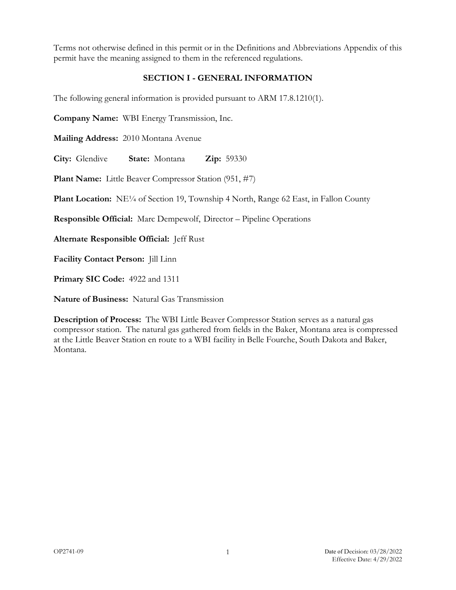Terms not otherwise defined in this permit or in the Definitions and Abbreviations Appendix of this permit have the meaning assigned to them in the referenced regulations.

#### **SECTION I - GENERAL INFORMATION**

<span id="page-4-0"></span>The following general information is provided pursuant to ARM 17.8.1210(1).

**Company Name:** WBI Energy Transmission, Inc.

**Mailing Address:** 2010 Montana Avenue

**City:** Glendive **State:** Montana **Zip:** 59330

**Plant Name:** Little Beaver Compressor Station (951, #7)

**Plant Location:** NE<sup>1/4</sup> of Section 19, Township 4 North, Range 62 East, in Fallon County

**Responsible Official:** Marc Dempewolf, Director – Pipeline Operations

**Alternate Responsible Official:** Jeff Rust

**Facility Contact Person:** Jill Linn

**Primary SIC Code:** 4922 and 1311

**Nature of Business:** Natural Gas Transmission

**Description of Process:** The WBI Little Beaver Compressor Station serves as a natural gas compressor station. The natural gas gathered from fields in the Baker, Montana area is compressed at the Little Beaver Station en route to a WBI facility in Belle Fourche, South Dakota and Baker, Montana.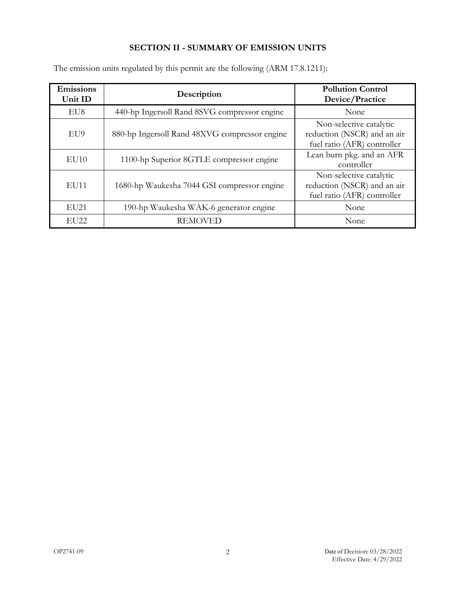# **SECTION II - SUMMARY OF EMISSION UNITS**

| <b>Emissions</b><br>Unit ID | Description                                   | <b>Pollution Control</b><br>Device/Practice                                           |
|-----------------------------|-----------------------------------------------|---------------------------------------------------------------------------------------|
| EU8                         | 440-hp Ingersoll Rand 8SVG compressor engine  | None                                                                                  |
| EU9                         | 880-hp Ingersoll Rand 48XVG compressor engine | Non-selective catalytic<br>reduction (NSCR) and an air<br>fuel ratio (AFR) controller |
| EU10                        | 1100-hp Superior 8GTLE compressor engine      | Lean burn pkg. and an AFR<br>controller                                               |
| EU11                        | 1680-hp Waukesha 7044 GSI compressor engine   | Non-selective catalytic<br>reduction (NSCR) and an air<br>fuel ratio (AFR) controller |
| EU <sub>21</sub>            | 190-hp Waukesha WAK-6 generator engine        | None                                                                                  |
| EU <sub>22</sub>            | <b>REMOVED</b>                                | None                                                                                  |

<span id="page-5-0"></span>The emission units regulated by this permit are the following (ARM 17.8.1211):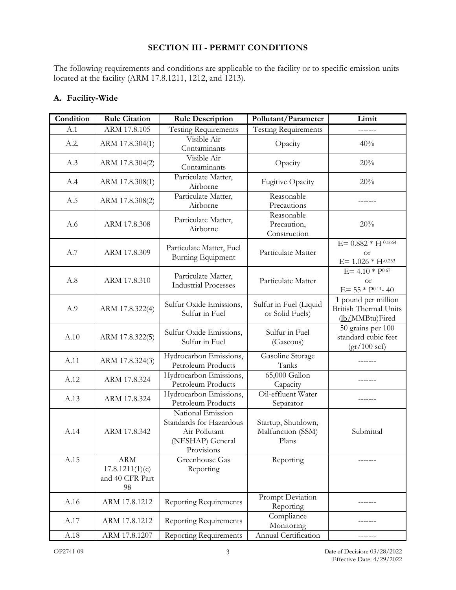# **SECTION III - PERMIT CONDITIONS**

<span id="page-6-0"></span>The following requirements and conditions are applicable to the facility or to specific emission units located at the facility (ARM 17.8.1211, 1212, and 1213).

| Condition | <b>Rule Citation</b>                                   | <b>Rule Description</b>                                                                         | Pollutant/Parameter                              | Limit                                                                  |
|-----------|--------------------------------------------------------|-------------------------------------------------------------------------------------------------|--------------------------------------------------|------------------------------------------------------------------------|
| A.1       | ARM 17.8.105                                           | <b>Testing Requirements</b>                                                                     | <b>Testing Requirements</b>                      |                                                                        |
|           |                                                        |                                                                                                 |                                                  |                                                                        |
| A.2.      | ARM 17.8.304(1)                                        | Visible Air<br>Contaminants                                                                     | Opacity                                          | 40%                                                                    |
| A.3       | ARM 17.8.304(2)                                        | Visible Air<br>Contaminants                                                                     | Opacity                                          | 20%                                                                    |
| A.4       | ARM 17.8.308(1)                                        | Particulate Matter,<br>Airborne                                                                 | <b>Fugitive Opacity</b>                          | 20%                                                                    |
| A.5       | ARM 17.8.308(2)                                        | Particulate Matter,<br>Airborne                                                                 | Reasonable<br>Precautions                        |                                                                        |
| A.6       | ARM 17.8.308                                           | Particulate Matter,<br>Airborne                                                                 | Reasonable<br>Precaution,<br>Construction        | 20%                                                                    |
| A.7       | ARM 17.8.309                                           | Particulate Matter, Fuel<br>Burning Equipment                                                   | Particulate Matter                               | $E = 0.882 * H^{-0.1664}$<br><b>or</b><br>$E = 1.026 * H^{-0.233}$     |
| A.8       | ARM 17.8.310                                           | Particulate Matter,<br><b>Industrial Processes</b>                                              | Particulate Matter                               | $E = 4.10 * P^{0.67}$<br><b>or</b><br>$E = 55 * P^{0.11} - 40$         |
| A.9       | ARM 17.8.322(4)                                        | Sulfur Oxide Emissions,<br>Sulfur in Fuel                                                       | Sulfur in Fuel (Liquid<br>or Solid Fuels)        | 1 pound per million<br><b>British Thermal Units</b><br>(lb/MMBtu)Fired |
| A.10      | ARM 17.8.322(5)                                        | Sulfur Oxide Emissions,<br>Sulfur in Fuel                                                       | Sulfur in Fuel<br>(Gaseous)                      | 50 grains per 100<br>standard cubic feet<br>$gr/100$ scf)              |
| A.11      | ARM 17.8.324(3)                                        | Hydrocarbon Emissions,<br>Petroleum Products                                                    | Gasoline Storage<br>Tanks                        |                                                                        |
| A.12      | ARM 17.8.324                                           | Hydrocarbon Emissions,<br>Petroleum Products                                                    | 65,000 Gallon<br>Capacity                        |                                                                        |
| A.13      | ARM 17.8.324                                           | Hydrocarbon Emissions,<br>Petroleum Products                                                    | Oil-effluent Water<br>Separator                  |                                                                        |
| A.14      | ARM 17.8.342                                           | National Emission<br>Standards for Hazardous<br>Air Pollutant<br>(NESHAP) General<br>Provisions | Startup, Shutdown,<br>Malfunction (SSM)<br>Plans | Submittal                                                              |
| A.15      | <b>ARM</b><br>17.8.1211(1)(c)<br>and 40 CFR Part<br>98 | Greenhouse Gas<br>Reporting                                                                     | Reporting                                        |                                                                        |
| A.16      | ARM 17.8.1212                                          | <b>Reporting Requirements</b>                                                                   | Prompt Deviation<br>Reporting                    |                                                                        |
| A.17      | ARM 17.8.1212                                          | <b>Reporting Requirements</b>                                                                   | Compliance<br>Monitoring                         |                                                                        |
| A.18      | ARM 17.8.1207                                          | <b>Reporting Requirements</b>                                                                   | Annual Certification                             |                                                                        |

#### <span id="page-6-1"></span>**A. Facility-Wide**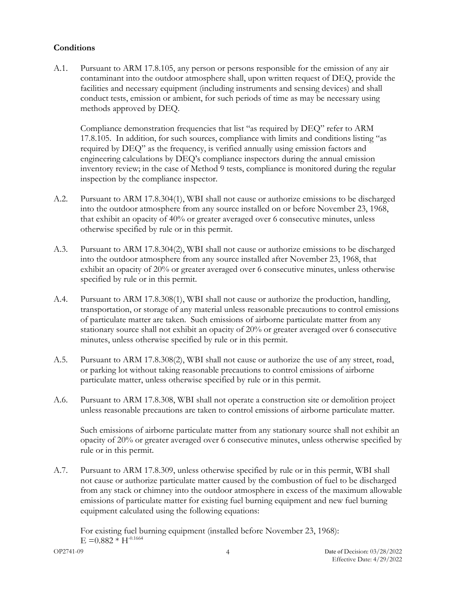# **Conditions**

<span id="page-7-0"></span>A.1. Pursuant to ARM 17.8.105, any person or persons responsible for the emission of any air contaminant into the outdoor atmosphere shall, upon written request of DEQ, provide the facilities and necessary equipment (including instruments and sensing devices) and shall conduct tests, emission or ambient, for such periods of time as may be necessary using methods approved by DEQ.

Compliance demonstration frequencies that list "as required by DEQ" refer to ARM 17.8.105. In addition, for such sources, compliance with limits and conditions listing "as required by DEQ" as the frequency, is verified annually using emission factors and engineering calculations by DEQ's compliance inspectors during the annual emission inventory review; in the case of Method 9 tests, compliance is monitored during the regular inspection by the compliance inspector.

- <span id="page-7-1"></span>A.2. Pursuant to ARM 17.8.304(1), WBI shall not cause or authorize emissions to be discharged into the outdoor atmosphere from any source installed on or before November 23, 1968, that exhibit an opacity of 40% or greater averaged over 6 consecutive minutes, unless otherwise specified by rule or in this permit.
- <span id="page-7-2"></span>A.3. Pursuant to ARM 17.8.304(2), WBI shall not cause or authorize emissions to be discharged into the outdoor atmosphere from any source installed after November 23, 1968, that exhibit an opacity of 20% or greater averaged over 6 consecutive minutes, unless otherwise specified by rule or in this permit.
- <span id="page-7-3"></span>A.4. Pursuant to ARM 17.8.308(1), WBI shall not cause or authorize the production, handling, transportation, or storage of any material unless reasonable precautions to control emissions of particulate matter are taken. Such emissions of airborne particulate matter from any stationary source shall not exhibit an opacity of 20% or greater averaged over 6 consecutive minutes, unless otherwise specified by rule or in this permit.
- <span id="page-7-4"></span>A.5. Pursuant to ARM 17.8.308(2), WBI shall not cause or authorize the use of any street, road, or parking lot without taking reasonable precautions to control emissions of airborne particulate matter, unless otherwise specified by rule or in this permit.
- <span id="page-7-5"></span>A.6. Pursuant to ARM 17.8.308, WBI shall not operate a construction site or demolition project unless reasonable precautions are taken to control emissions of airborne particulate matter.

Such emissions of airborne particulate matter from any stationary source shall not exhibit an opacity of 20% or greater averaged over 6 consecutive minutes, unless otherwise specified by rule or in this permit.

<span id="page-7-6"></span>A.7. Pursuant to ARM 17.8.309, unless otherwise specified by rule or in this permit, WBI shall not cause or authorize particulate matter caused by the combustion of fuel to be discharged from any stack or chimney into the outdoor atmosphere in excess of the maximum allowable emissions of particulate matter for existing fuel burning equipment and new fuel burning equipment calculated using the following equations:

For existing fuel burning equipment (installed before November 23, 1968):  $E = 0.882 * H^{-0.1664}$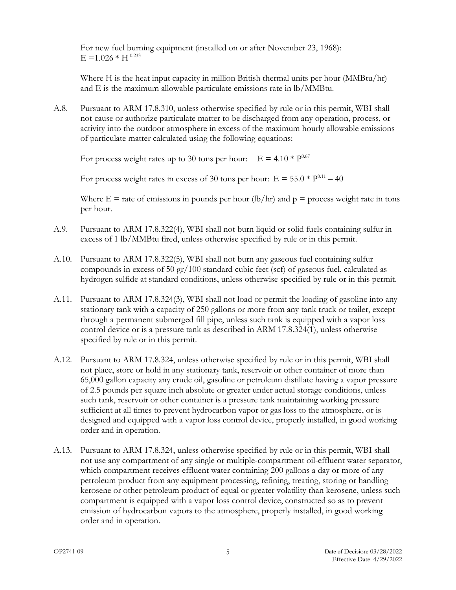For new fuel burning equipment (installed on or after November 23, 1968):  $E = 1.026 * H^{-0.233}$ 

Where H is the heat input capacity in million British thermal units per hour (MMBtu/hr) and E is the maximum allowable particulate emissions rate in lb/MMBtu.

<span id="page-8-0"></span>A.8. Pursuant to ARM 17.8.310, unless otherwise specified by rule or in this permit, WBI shall not cause or authorize particulate matter to be discharged from any operation, process, or activity into the outdoor atmosphere in excess of the maximum hourly allowable emissions of particulate matter calculated using the following equations:

For process weight rates up to 30 tons per hour:  $E = 4.10 * P^{0.67}$ 

For process weight rates in excess of 30 tons per hour:  $E = 55.0 * P^{0.11} - 40$ 

Where  $E =$  rate of emissions in pounds per hour (lb/hr) and  $p =$  process weight rate in tons per hour.

- <span id="page-8-1"></span>A.9. Pursuant to ARM 17.8.322(4), WBI shall not burn liquid or solid fuels containing sulfur in excess of 1 lb/MMBtu fired, unless otherwise specified by rule or in this permit.
- <span id="page-8-2"></span>A.10. Pursuant to ARM 17.8.322(5), WBI shall not burn any gaseous fuel containing sulfur compounds in excess of 50 gr/100 standard cubic feet (scf) of gaseous fuel, calculated as hydrogen sulfide at standard conditions, unless otherwise specified by rule or in this permit.
- <span id="page-8-3"></span>A.11. Pursuant to ARM 17.8.324(3), WBI shall not load or permit the loading of gasoline into any stationary tank with a capacity of 250 gallons or more from any tank truck or trailer, except through a permanent submerged fill pipe, unless such tank is equipped with a vapor loss control device or is a pressure tank as described in ARM 17.8.324(1), unless otherwise specified by rule or in this permit.
- <span id="page-8-4"></span>A.12. Pursuant to ARM 17.8.324, unless otherwise specified by rule or in this permit, WBI shall not place, store or hold in any stationary tank, reservoir or other container of more than 65,000 gallon capacity any crude oil, gasoline or petroleum distillate having a vapor pressure of 2.5 pounds per square inch absolute or greater under actual storage conditions, unless such tank, reservoir or other container is a pressure tank maintaining working pressure sufficient at all times to prevent hydrocarbon vapor or gas loss to the atmosphere, or is designed and equipped with a vapor loss control device, properly installed, in good working order and in operation.
- <span id="page-8-5"></span>A.13. Pursuant to ARM 17.8.324, unless otherwise specified by rule or in this permit, WBI shall not use any compartment of any single or multiple-compartment oil-effluent water separator, which compartment receives effluent water containing 200 gallons a day or more of any petroleum product from any equipment processing, refining, treating, storing or handling kerosene or other petroleum product of equal or greater volatility than kerosene, unless such compartment is equipped with a vapor loss control device, constructed so as to prevent emission of hydrocarbon vapors to the atmosphere, properly installed, in good working order and in operation.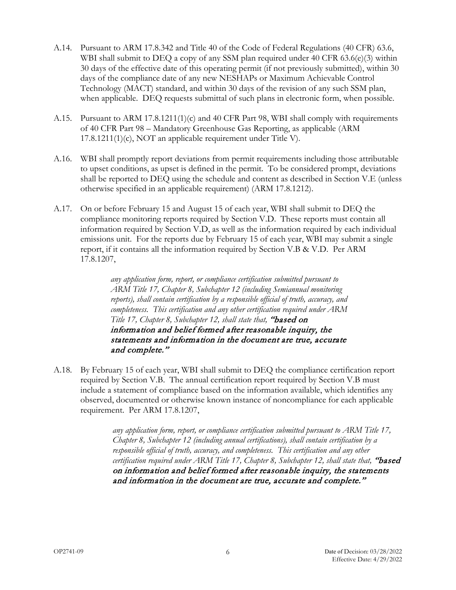- <span id="page-9-0"></span>A.14. Pursuant to ARM 17.8.342 and Title 40 of the Code of Federal Regulations (40 CFR) 63.6, WBI shall submit to DEQ a copy of any SSM plan required under  $40$  CFR  $63.6(e)$  $(3)$  within 30 days of the effective date of this operating permit (if not previously submitted), within 30 days of the compliance date of any new NESHAPs or Maximum Achievable Control Technology (MACT) standard, and within 30 days of the revision of any such SSM plan, when applicable. DEQ requests submittal of such plans in electronic form, when possible.
- <span id="page-9-1"></span>A.15. Pursuant to ARM 17.8.1211(1)(c) and 40 CFR Part 98, WBI shall comply with requirements of 40 CFR Part 98 – Mandatory Greenhouse Gas Reporting, as applicable (ARM 17.8.1211(1)(c), NOT an applicable requirement under Title V).
- <span id="page-9-2"></span>A.16. WBI shall promptly report deviations from permit requirements including those attributable to upset conditions, as upset is defined in the permit. To be considered prompt, deviations shall be reported to DEQ using the schedule and content as described in Section V.E (unless otherwise specified in an applicable requirement) (ARM 17.8.1212).
- <span id="page-9-3"></span>A.17. On or before February 15 and August 15 of each year, WBI shall submit to DEQ the compliance monitoring reports required by Section V.D. These reports must contain all information required by Section V.D, as well as the information required by each individual emissions unit. For the reports due by February 15 of each year, WBI may submit a single report, if it contains all the information required by Section V.B & V.D. Per ARM 17.8.1207,

*any application form, report, or compliance certification submitted pursuant to ARM Title 17, Chapter 8, Subchapter 12 (including Semiannual monitoring reports), shall contain certification by a responsible official of truth, accuracy, and completeness. This certification and any other certification required under ARM Title 17, Chapter 8, Subchapter 12, shall state that,* "based on information and belief formed after reasonable inquiry, the statements and information in the document are true, accurate and complete."

<span id="page-9-4"></span>A.18. By February 15 of each year, WBI shall submit to DEQ the compliance certification report required by Section V.B. The annual certification report required by Section V.B must include a statement of compliance based on the information available, which identifies any observed, documented or otherwise known instance of noncompliance for each applicable requirement. Per ARM 17.8.1207,

> *any application form, report, or compliance certification submitted pursuant to ARM Title 17, Chapter 8, Subchapter 12 (including annual certifications), shall contain certification by a responsible official of truth, accuracy, and completeness. This certification and any other certification required under ARM Title 17, Chapter 8, Subchapter 12, shall state that,* "based on information and belief formed after reasonable inquiry, the statements and information in the document are true, accurate and complete."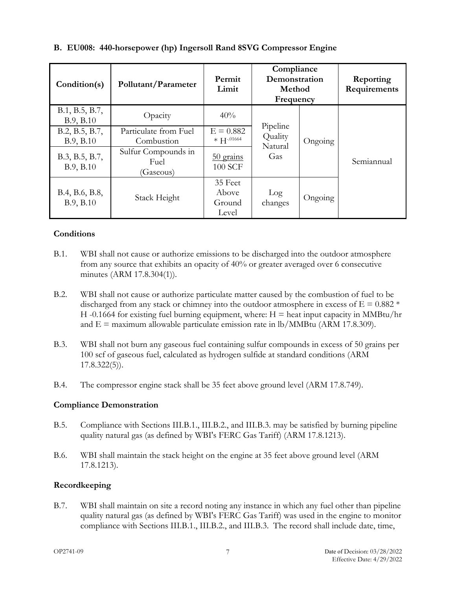| Condition(s)                | Pollutant/Parameter                      | Permit<br>Limit                     | Compliance<br>Demonstration<br>Method<br>Frequency |         | Reporting<br>Requirements |
|-----------------------------|------------------------------------------|-------------------------------------|----------------------------------------------------|---------|---------------------------|
| B.1, B.5, B.7,<br>B.9, B.10 | Opacity                                  | 40%                                 |                                                    |         |                           |
| B.2, B.5, B.7,<br>B.9, B.10 | Particulate from Fuel<br>Combustion      | $E = 0.882$<br>$* H^{-.01664}$      | Pipeline<br>Quality<br>Natural                     | Ongoing |                           |
| B.3, B.5, B.7,<br>B.9, B.10 | Sulfur Compounds in<br>Fuel<br>(Gaseous) | $50$ grains<br>100 SCF              | Gas                                                |         | Semiannual                |
| B.4, B.6, B.8,<br>B.9, B.10 | Stack Height                             | 35 Feet<br>Above<br>Ground<br>Level | Log<br>changes                                     | Ongoing |                           |

# <span id="page-10-0"></span>**B. EU008: 440-horsepower (hp) Ingersoll Rand 8SVG Compressor Engine**

# **Conditions**

- <span id="page-10-1"></span>B.1. WBI shall not cause or authorize emissions to be discharged into the outdoor atmosphere from any source that exhibits an opacity of 40% or greater averaged over 6 consecutive minutes (ARM 17.8.304(1)).
- <span id="page-10-4"></span>B.2. WBI shall not cause or authorize particulate matter caused by the combustion of fuel to be discharged from any stack or chimney into the outdoor atmosphere in excess of  $E = 0.882$  \* H -0.1664 for existing fuel burning equipment, where:  $H =$  heat input capacity in MMBtu/hr and  $E =$  maximum allowable particulate emission rate in lb/MMBtu (ARM 17.8.309).
- <span id="page-10-5"></span>B.3. WBI shall not burn any gaseous fuel containing sulfur compounds in excess of 50 grains per 100 scf of gaseous fuel, calculated as hydrogen sulfide at standard conditions (ARM 17.8.322(5)).
- <span id="page-10-6"></span>B.4. The compressor engine stack shall be 35 feet above ground level (ARM 17.8.749).

#### **Compliance Demonstration**

- <span id="page-10-2"></span>B.5. Compliance with Sections III.B.1., III.B.2., and III.B.3. may be satisfied by burning pipeline quality natural gas (as defined by WBI's FERC Gas Tariff) (ARM 17.8.1213).
- <span id="page-10-7"></span>B.6. WBI shall maintain the stack height on the engine at 35 feet above ground level (ARM 17.8.1213).

#### **Recordkeeping**

<span id="page-10-3"></span>B.7. WBI shall maintain on site a record noting any instance in which any fuel other than pipeline quality natural gas (as defined by WBI's FERC Gas Tariff) was used in the engine to monitor compliance with Sections III.B.1., III.B.2., and III.B.3. The record shall include date, time,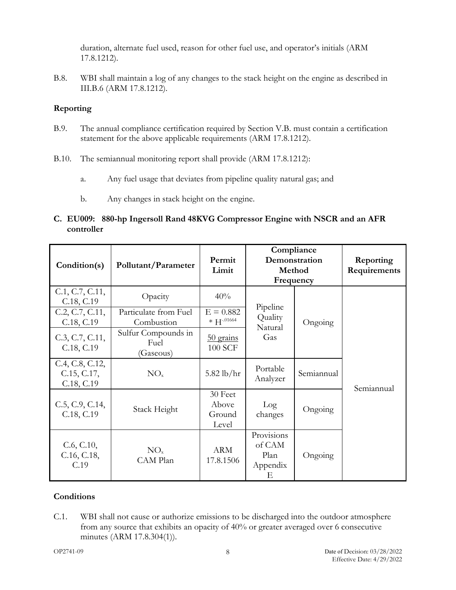duration, alternate fuel used, reason for other fuel use, and operator's initials (ARM 17.8.1212).

<span id="page-11-3"></span>B.8. WBI shall maintain a log of any changes to the stack height on the engine as described in III.B.6 (ARM 17.8.1212).

# **Reporting**

- <span id="page-11-1"></span>B.9. The annual compliance certification required by Section V.B. must contain a certification statement for the above applicable requirements (ARM 17.8.1212).
- <span id="page-11-2"></span>B.10. The semiannual monitoring report shall provide (ARM 17.8.1212):
	- a. Any fuel usage that deviates from pipeline quality natural gas; and
	- b. Any changes in stack height on the engine.

# <span id="page-11-0"></span>**C. EU009: 880-hp Ingersoll Rand 48KVG Compressor Engine with NSCR and an AFR controller**

| Condition(s)                                 | Pollutant/Parameter                      | Permit<br>Limit                     | Compliance<br>Demonstration<br>Method<br>Frequency |            | Reporting<br>Requirements |
|----------------------------------------------|------------------------------------------|-------------------------------------|----------------------------------------------------|------------|---------------------------|
| C.1, C.7, C.11,<br>C.18, C.19                | Opacity                                  | 40%                                 |                                                    |            |                           |
| C.2, C.7, C.11,<br>C.18, C.19                | Particulate from Fuel<br>Combustion      | $E = 0.882$<br>$* H^{-.01664}$      | Pipeline<br>Quality<br>Natural                     | Ongoing    |                           |
| C.3, C.7, C.11,<br>C.18, C.19                | Sulfur Compounds in<br>Fuel<br>(Gaseous) | 50 grains<br><b>100 SCF</b>         | Gas                                                |            |                           |
| C.4, C.8, C.12,<br>C.15, C.17,<br>C.18, C.19 | NO <sub>x</sub>                          | $5.82$ lb/hr                        | Portable<br>Analyzer                               | Semiannual | Semiannual                |
| C.5, C.9, C.14,<br>C.18, C.19                | Stack Height                             | 30 Feet<br>Above<br>Ground<br>Level | Log<br>changes                                     | Ongoing    |                           |
| C.6, C.10,<br>C.16, C.18,<br>C.19            | NO <sub>x</sub><br>CAM Plan              | <b>ARM</b><br>17.8.1506             | Provisions<br>of CAM<br>Plan<br>Appendix<br>Е      | Ongoing    |                           |

# **Conditions**

<span id="page-11-4"></span>C.1. WBI shall not cause or authorize emissions to be discharged into the outdoor atmosphere from any source that exhibits an opacity of 40% or greater averaged over 6 consecutive minutes (ARM 17.8.304(1)).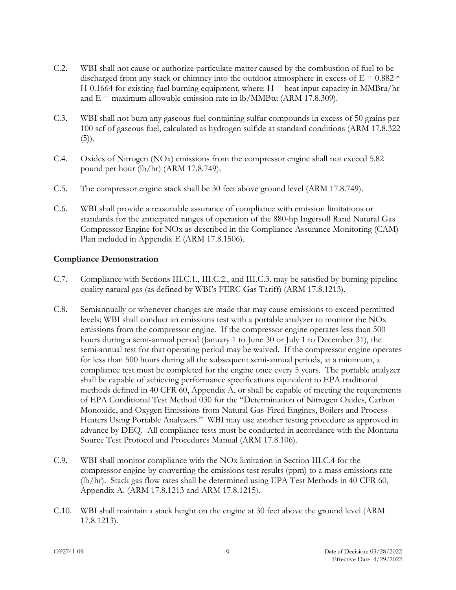- <span id="page-12-1"></span>C.2. WBI shall not cause or authorize particulate matter caused by the combustion of fuel to be discharged from any stack or chimney into the outdoor atmosphere in excess of  $E = 0.882$  \*  $H-0.1664$  for existing fuel burning equipment, where:  $H =$  heat input capacity in MMBtu/hr and  $E =$  maximum allowable emission rate in lb/MMBtu (ARM 17.8.309).
- <span id="page-12-2"></span>C.3. WBI shall not burn any gaseous fuel containing sulfur compounds in excess of 50 grains per 100 scf of gaseous fuel, calculated as hydrogen sulfide at standard conditions (ARM 17.8.322  $(5)$ ).
- <span id="page-12-3"></span>C.4. Oxides of Nitrogen (NOx) emissions from the compressor engine shall not exceed 5.82 pound per hour (lb/hr) (ARM 17.8.749).
- <span id="page-12-5"></span>C.5. The compressor engine stack shall be 30 feet above ground level (ARM 17.8.749).
- <span id="page-12-7"></span>C.6. WBI shall provide a reasonable assurance of compliance with emission limitations or standards for the anticipated ranges of operation of the 880-hp Ingersoll Rand Natural Gas Compressor Engine for NOx as described in the Compliance Assurance Monitoring (CAM) Plan included in Appendix E (ARM 17.8.1506).

#### **Compliance Demonstration**

- <span id="page-12-0"></span>C.7. Compliance with Sections III.C.1., III.C.2., and III.C.3. may be satisfied by burning pipeline quality natural gas (as defined by WBI's FERC Gas Tariff) (ARM 17.8.1213).
- <span id="page-12-4"></span>C.8. Semiannually or whenever changes are made that may cause emissions to exceed permitted levels; WBI shall conduct an emissions test with a portable analyzer to monitor the NOx emissions from the compressor engine. If the compressor engine operates less than 500 hours during a semi-annual period (January 1 to June 30 or July 1 to December 31), the semi-annual test for that operating period may be waived. If the compressor engine operates for less than 500 hours during all the subsequent semi-annual periods, at a minimum, a compliance test must be completed for the engine once every 5 years. The portable analyzer shall be capable of achieving performance specifications equivalent to EPA traditional methods defined in 40 CFR 60, Appendix A, or shall be capable of meeting the requirements of EPA Conditional Test Method 030 for the "Determination of Nitrogen Oxides, Carbon Monoxide, and Oxygen Emissions from Natural Gas-Fired Engines, Boilers and Process Heaters Using Portable Analyzers." WBI may use another testing procedure as approved in advance by DEQ. All compliance tests must be conducted in accordance with the Montana Source Test Protocol and Procedures Manual (ARM 17.8.106).
- <span id="page-12-6"></span>C.9. WBI shall monitor compliance with the NOx limitation in Section III.C.4 for the compressor engine by converting the emissions test results (ppm) to a mass emissions rate (lb/hr). Stack gas flow rates shall be determined using EPA Test Methods in 40 CFR 60, Appendix A. (ARM 17.8.1213 and ARM 17.8.1215).
- <span id="page-12-8"></span>C.10. WBI shall maintain a stack height on the engine at 30 feet above the ground level (ARM 17.8.1213).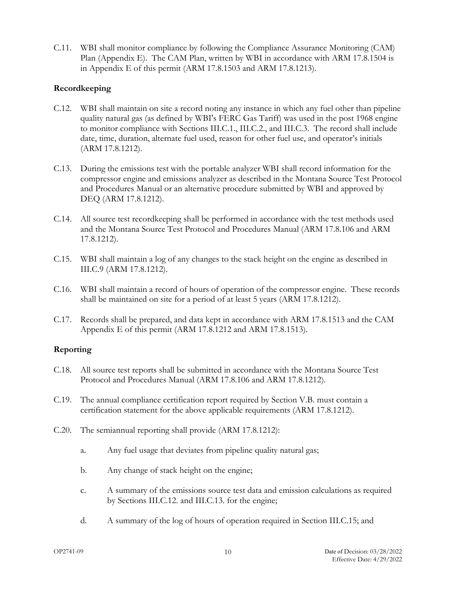<span id="page-13-0"></span>C.11. WBI shall monitor compliance by following the Compliance Assurance Monitoring (CAM) Plan (Appendix E). The CAM Plan, written by WBI in accordance with ARM 17.8.1504 is in Appendix E of this permit (ARM 17.8.1503 and ARM 17.8.1213).

# **Recordkeeping**

- <span id="page-13-3"></span>C.12. WBI shall maintain on site a record noting any instance in which any fuel other than pipeline quality natural gas (as defined by WBI's FERC Gas Tariff) was used in the post 1968 engine to monitor compliance with Sections III.C.1., III.C.2., and III.C.3. The record shall include date, time, duration, alternate fuel used, reason for other fuel use, and operator's initials (ARM 17.8.1212).
- C.13. During the emissions test with the portable analyzer WBI shall record information for the compressor engine and emissions analyzer as described in the Montana Source Test Protocol and Procedures Manual or an alternative procedure submitted by WBI and approved by DEQ (ARM 17.8.1212).
- <span id="page-13-6"></span>C.14. All source test recordkeeping shall be performed in accordance with the test methods used and the Montana Source Test Protocol and Procedures Manual (ARM 17.8.106 and ARM 17.8.1212).
- <span id="page-13-4"></span>C.15. WBI shall maintain a log of any changes to the stack height on the engine as described in III.C.9 (ARM 17.8.1212).
- <span id="page-13-7"></span>C.16. WBI shall maintain a record of hours of operation of the compressor engine. These records shall be maintained on site for a period of at least 5 years (ARM 17.8.1212).
- <span id="page-13-5"></span>C.17. Records shall be prepared, and data kept in accordance with ARM 17.8.1513 and the CAM Appendix E of this permit (ARM 17.8.1212 and ARM 17.8.1513).

#### **Reporting**

- <span id="page-13-1"></span>C.18. All source test reports shall be submitted in accordance with the Montana Source Test Protocol and Procedures Manual (ARM 17.8.106 and ARM 17.8.1212).
- <span id="page-13-2"></span>C.19. The annual compliance certification report required by Section V.B. must contain a certification statement for the above applicable requirements (ARM 17.8.1212).
- C.20. The semiannual reporting shall provide (ARM 17.8.1212):
	- a. Any fuel usage that deviates from pipeline quality natural gas;
	- b. Any change of stack height on the engine;
	- c. A summary of the emissions source test data and emission calculations as required by Sections III.C.12. and III.C.13. for the engine;
	- d. A summary of the log of hours of operation required in Section III.C.15; and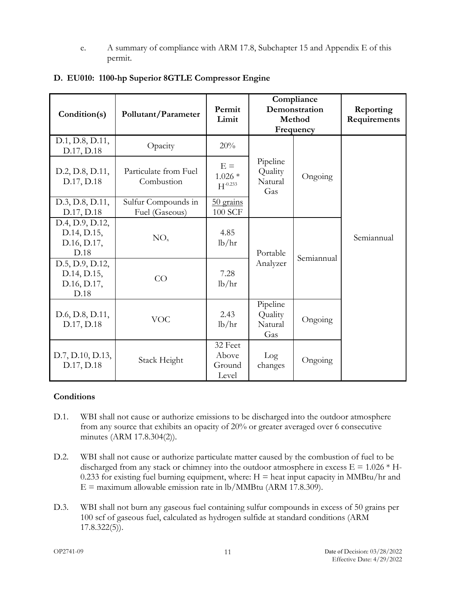e. A summary of compliance with ARM 17.8, Subchapter 15 and Appendix E of this permit.

| Condition(s)                                          | Pollutant/Parameter                   | Permit<br>Limit                     | Compliance<br>Demonstration<br>Method<br>Frequency |            | Reporting<br>Requirements |
|-------------------------------------------------------|---------------------------------------|-------------------------------------|----------------------------------------------------|------------|---------------------------|
| D.1, D.8, D.11,<br>D.17, D.18                         | Opacity                               | 20%                                 |                                                    |            |                           |
| D.2, D.8, D.11,<br>D.17, D.18                         | Particulate from Fuel<br>Combustion   | $E =$<br>$1.026*$<br>$H^{-0.233}$   | Pipeline<br>Quality<br>Natural<br>Gas              | Ongoing    |                           |
| D.3, D.8, D.11,<br>D.17, D.18                         | Sulfur Compounds in<br>Fuel (Gaseous) | 50 grains<br><b>100 SCF</b>         |                                                    |            |                           |
| D.4, D.9, D.12,<br>D.14, D.15,<br>D.16, D.17,<br>D.18 | NO <sub>x</sub>                       | 4.85<br>lb/hr                       | Portable                                           |            | Semiannual                |
| D.5, D.9, D.12,<br>D.14, D.15,<br>D.16, D.17,<br>D.18 | CO                                    | 7.28<br>lb/hr                       | Analyzer                                           | Semiannual |                           |
| D.6, D.8, D.11,<br>D.17, D.18                         | <b>VOC</b>                            | 2.43<br>lb/hr                       | Pipeline<br>Quality<br>Natural<br>Gas              | Ongoing    |                           |
| D.7, D.10, D.13,<br>D.17, D.18                        | Stack Height                          | 32 Feet<br>Above<br>Ground<br>Level | Log<br>changes                                     | Ongoing    |                           |

# <span id="page-14-0"></span>**D. EU010: 1100-hp Superior 8GTLE Compressor Engine**

#### **Conditions**

- <span id="page-14-1"></span>D.1. WBI shall not cause or authorize emissions to be discharged into the outdoor atmosphere from any source that exhibits an opacity of 20% or greater averaged over 6 consecutive minutes (ARM 17.8.304(2)).
- <span id="page-14-2"></span>D.2. WBI shall not cause or authorize particulate matter caused by the combustion of fuel to be discharged from any stack or chimney into the outdoor atmosphere in excess  $E = 1.026 * H$ -0.233 for existing fuel burning equipment, where:  $H =$  heat input capacity in MMBtu/hr and  $E =$  maximum allowable emission rate in lb/MMBtu (ARM 17.8.309).
- <span id="page-14-3"></span>D.3. WBI shall not burn any gaseous fuel containing sulfur compounds in excess of 50 grains per 100 scf of gaseous fuel, calculated as hydrogen sulfide at standard conditions (ARM 17.8.322(5)).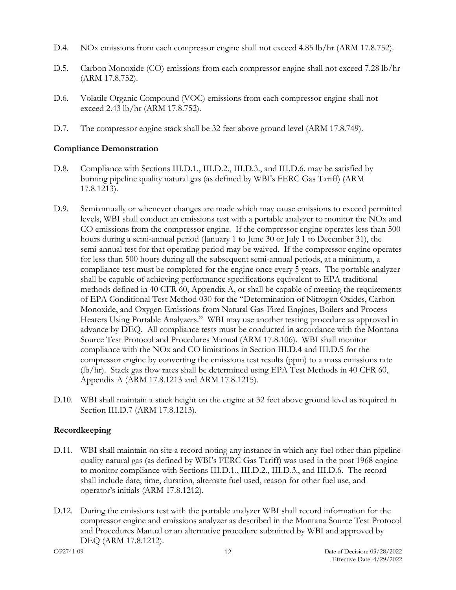- <span id="page-15-2"></span>D.4. NOx emissions from each compressor engine shall not exceed 4.85 lb/hr (ARM 17.8.752).
- <span id="page-15-5"></span>D.5. Carbon Monoxide (CO) emissions from each compressor engine shall not exceed 7.28 lb/hr (ARM 17.8.752).
- <span id="page-15-6"></span>D.6. Volatile Organic Compound (VOC) emissions from each compressor engine shall not exceed 2.43 lb/hr (ARM 17.8.752).
- <span id="page-15-7"></span>D.7. The compressor engine stack shall be 32 feet above ground level (ARM 17.8.749).

# **Compliance Demonstration**

- <span id="page-15-0"></span>D.8. Compliance with Sections III.D.1., III.D.2., III.D.3., and III.D.6. may be satisfied by burning pipeline quality natural gas (as defined by WBI's FERC Gas Tariff) (ARM 17.8.1213).
- <span id="page-15-3"></span>D.9. Semiannually or whenever changes are made which may cause emissions to exceed permitted levels, WBI shall conduct an emissions test with a portable analyzer to monitor the NOx and CO emissions from the compressor engine. If the compressor engine operates less than 500 hours during a semi-annual period (January 1 to June 30 or July 1 to December 31), the semi-annual test for that operating period may be waived. If the compressor engine operates for less than 500 hours during all the subsequent semi-annual periods, at a minimum, a compliance test must be completed for the engine once every 5 years. The portable analyzer shall be capable of achieving performance specifications equivalent to EPA traditional methods defined in 40 CFR 60, Appendix A, or shall be capable of meeting the requirements of EPA Conditional Test Method 030 for the "Determination of Nitrogen Oxides, Carbon Monoxide, and Oxygen Emissions from Natural Gas-Fired Engines, Boilers and Process Heaters Using Portable Analyzers." WBI may use another testing procedure as approved in advance by DEQ. All compliance tests must be conducted in accordance with the Montana Source Test Protocol and Procedures Manual (ARM 17.8.106). WBI shall monitor compliance with the NOx and CO limitations in Section III.D.4 and III.D.5 for the compressor engine by converting the emissions test results (ppm) to a mass emissions rate (lb/hr). Stack gas flow rates shall be determined using EPA Test Methods in 40 CFR 60, Appendix A (ARM 17.8.1213 and ARM 17.8.1215).
- <span id="page-15-8"></span>D.10. WBI shall maintain a stack height on the engine at 32 feet above ground level as required in Section III.D.7 (ARM 17.8.1213).

# **Recordkeeping**

- <span id="page-15-1"></span>D.11. WBI shall maintain on site a record noting any instance in which any fuel other than pipeline quality natural gas (as defined by WBI's FERC Gas Tariff) was used in the post 1968 engine to monitor compliance with Sections III.D.1., III.D.2., III.D.3., and III.D.6. The record shall include date, time, duration, alternate fuel used, reason for other fuel use, and operator's initials (ARM 17.8.1212).
- <span id="page-15-4"></span>D.12. During the emissions test with the portable analyzer WBI shall record information for the compressor engine and emissions analyzer as described in the Montana Source Test Protocol and Procedures Manual or an alternative procedure submitted by WBI and approved by DEQ (ARM 17.8.1212).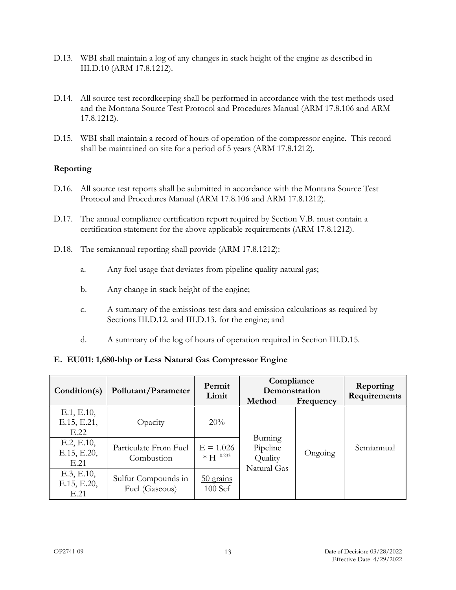- <span id="page-16-6"></span>D.13. WBI shall maintain a log of any changes in stack height of the engine as described in III.D.10 (ARM 17.8.1212).
- <span id="page-16-3"></span>D.14. All source test recordkeeping shall be performed in accordance with the test methods used and the Montana Source Test Protocol and Procedures Manual (ARM 17.8.106 and ARM 17.8.1212).
- <span id="page-16-4"></span>D.15. WBI shall maintain a record of hours of operation of the compressor engine. This record shall be maintained on site for a period of 5 years (ARM 17.8.1212).

# **Reporting**

- <span id="page-16-5"></span>D.16. All source test reports shall be submitted in accordance with the Montana Source Test Protocol and Procedures Manual (ARM 17.8.106 and ARM 17.8.1212).
- <span id="page-16-1"></span>D.17. The annual compliance certification report required by Section V.B. must contain a certification statement for the above applicable requirements (ARM 17.8.1212).
- <span id="page-16-2"></span>D.18. The semiannual reporting shall provide (ARM 17.8.1212):
	- a. Any fuel usage that deviates from pipeline quality natural gas;
	- b. Any change in stack height of the engine;
	- c. A summary of the emissions test data and emission calculations as required by Sections III.D.12. and III.D.13. for the engine; and
	- d. A summary of the log of hours of operation required in Section III.D.15.

#### <span id="page-16-0"></span>**E. EU011: 1,680-bhp or Less Natural Gas Compressor Engine**

| Condition(s)                      | Pollutant/Parameter                   | Permit<br>Limit               | Compliance<br>Demonstration<br>Method<br>Frequency |         | Reporting<br>Requirements |
|-----------------------------------|---------------------------------------|-------------------------------|----------------------------------------------------|---------|---------------------------|
| E.1, E.10,<br>E.15, E.21,<br>E.22 | Opacity                               | 20%                           |                                                    |         |                           |
| E.2, E.10,<br>E.15, E.20,<br>E.21 | Particulate From Fuel<br>Combustion   | $E = 1.026$<br>$* H^{-0.233}$ | Burning<br>Pipeline<br>Quality<br>Natural Gas      | Ongoing | Semiannual                |
| E.3, E.10,<br>E.15, E.20,<br>E.21 | Sulfur Compounds in<br>Fuel (Gaseous) | $50$ grains<br>100 Scf        |                                                    |         |                           |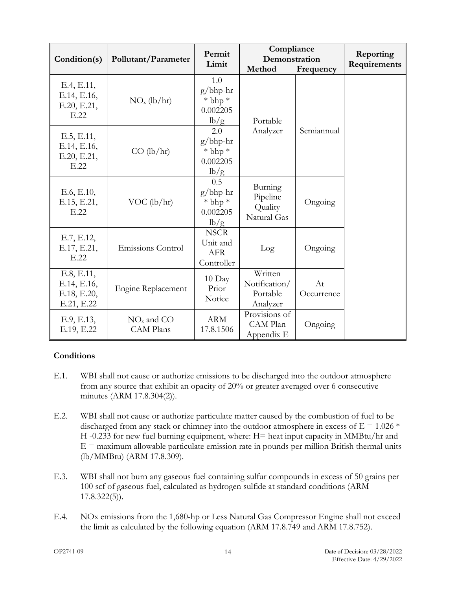| Condition(s)                                           | Pollutant/Parameter              | Permit<br>Limit                                       | Compliance<br>Demonstration<br>Method            | Reporting<br>Requirements |  |
|--------------------------------------------------------|----------------------------------|-------------------------------------------------------|--------------------------------------------------|---------------------------|--|
| E.4, E.11,<br>E.14, E.16,<br>E.20, E.21,<br>E.22       | $NOx$ (lb/hr)                    | 1.0<br>$g/bhp-hr$<br>$*$ bhp $*$<br>0.002205<br>lb/g  | Portable                                         |                           |  |
| E.5, E.11,<br>E.14, E.16,<br>E.20, E.21,<br>E.22       | $CO$ (lb/hr)                     | 2.0<br>$g/b$ hp-hr<br>$*$ bhp $*$<br>0.002205<br>lb/g | Analyzer                                         | Semiannual                |  |
| E.6, E.10,<br>E.15, E.21,<br>E.22                      | $VOC$ (lb/hr)                    | 0.5<br>$g/b$ hp-hr<br>$*$ bhp $*$<br>0.002205<br>lb/g | Burning<br>Pipeline<br>Quality<br>Natural Gas    | Ongoing                   |  |
| E.7, E.12,<br>E.17, E.21,<br>E.22                      | Emissions Control                | <b>NSCR</b><br>Unit and<br><b>AFR</b><br>Controller   | Log                                              | Ongoing                   |  |
| E.8, E.11,<br>E.14, E.16,<br>E.18, E.20,<br>E.21, E.22 | Engine Replacement               | $10$ Day<br>Prior<br>Notice                           | Written<br>Notification/<br>Portable<br>Analyzer | At<br>Occurrence          |  |
| E.9, E.13,<br>E.19, E.22                               | $NOx$ and CO<br><b>CAM Plans</b> | <b>ARM</b><br>17.8.1506                               | Provisions of<br>CAM Plan<br>Appendix E          | Ongoing                   |  |

# **Conditions**

- <span id="page-17-0"></span>E.1. WBI shall not cause or authorize emissions to be discharged into the outdoor atmosphere from any source that exhibit an opacity of 20% or greater averaged over 6 consecutive minutes (ARM 17.8.304(2)).
- <span id="page-17-1"></span>E.2. WBI shall not cause or authorize particulate matter caused by the combustion of fuel to be discharged from any stack or chimney into the outdoor atmosphere in excess of  $E = 1.026$  \* H -0.233 for new fuel burning equipment, where: H= heat input capacity in MMBtu/hr and  $E =$  maximum allowable particulate emission rate in pounds per million British thermal units (lb/MMBtu) (ARM 17.8.309).
- <span id="page-17-2"></span>E.3. WBI shall not burn any gaseous fuel containing sulfur compounds in excess of 50 grains per 100 scf of gaseous fuel, calculated as hydrogen sulfide at standard conditions (ARM 17.8.322(5)).
- <span id="page-17-3"></span>E.4. NOx emissions from the 1,680-hp or Less Natural Gas Compressor Engine shall not exceed the limit as calculated by the following equation (ARM 17.8.749 and ARM 17.8.752).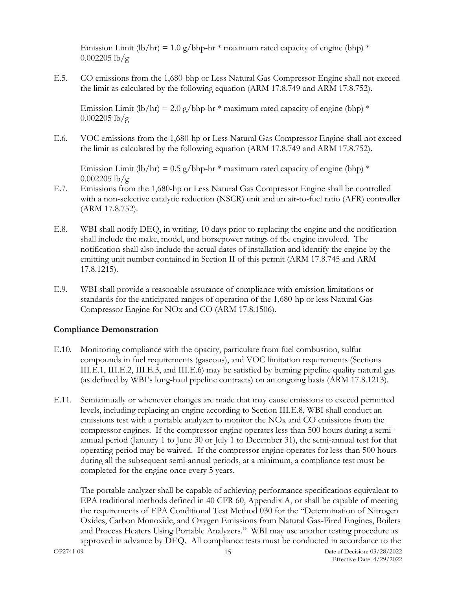Emission Limit (lb/hr) = 1.0 g/bhp-hr  $*$  maximum rated capacity of engine (bhp)  $*$  $0.002205$  lb/g

<span id="page-18-2"></span>E.5. CO emissions from the 1,680-bhp or Less Natural Gas Compressor Engine shall not exceed the limit as calculated by the following equation (ARM 17.8.749 and ARM 17.8.752).

Emission Limit (lb/hr) = 2.0 g/bhp-hr  $*$  maximum rated capacity of engine (bhp)  $*$  $0.002205$  lb/g

<span id="page-18-3"></span>E.6. VOC emissions from the 1,680-hp or Less Natural Gas Compressor Engine shall not exceed the limit as calculated by the following equation (ARM 17.8.749 and ARM 17.8.752).

Emission Limit (lb/hr) = 0.5 g/bhp-hr  $*$  maximum rated capacity of engine (bhp)  $*$  $0.002205$  lb/g

- <span id="page-18-4"></span>E.7. Emissions from the 1,680-hp or Less Natural Gas Compressor Engine shall be controlled with a non-selective catalytic reduction (NSCR) unit and an air-to-fuel ratio (AFR) controller (ARM 17.8.752).
- <span id="page-18-5"></span>E.8. WBI shall notify DEQ, in writing, 10 days prior to replacing the engine and the notification shall include the make, model, and horsepower ratings of the engine involved. The notification shall also include the actual dates of installation and identify the engine by the emitting unit number contained in Section II of this permit (ARM 17.8.745 and ARM 17.8.1215).
- <span id="page-18-6"></span>E.9. WBI shall provide a reasonable assurance of compliance with emission limitations or standards for the anticipated ranges of operation of the 1,680-hp or less Natural Gas Compressor Engine for NOx and CO (ARM 17.8.1506).

#### **Compliance Demonstration**

- <span id="page-18-0"></span>E.10. Monitoring compliance with the opacity, particulate from fuel combustion, sulfur compounds in fuel requirements (gaseous), and VOC limitation requirements (Sections III.E.1, III.E.2, III.E.3, and III.E.6) may be satisfied by burning pipeline quality natural gas (as defined by WBI's long-haul pipeline contracts) on an ongoing basis (ARM 17.8.1213).
- <span id="page-18-1"></span>E.11. Semiannually or whenever changes are made that may cause emissions to exceed permitted levels, including replacing an engine according to Section III.E.8, WBI shall conduct an emissions test with a portable analyzer to monitor the NOx and CO emissions from the compressor engines. If the compressor engine operates less than 500 hours during a semiannual period (January 1 to June 30 or July 1 to December 31), the semi-annual test for that operating period may be waived. If the compressor engine operates for less than 500 hours during all the subsequent semi-annual periods, at a minimum, a compliance test must be completed for the engine once every 5 years.

The portable analyzer shall be capable of achieving performance specifications equivalent to EPA traditional methods defined in 40 CFR 60, Appendix A, or shall be capable of meeting the requirements of EPA Conditional Test Method 030 for the "Determination of Nitrogen Oxides, Carbon Monoxide, and Oxygen Emissions from Natural Gas-Fired Engines, Boilers and Process Heaters Using Portable Analyzers." WBI may use another testing procedure as approved in advance by DEQ. All compliance tests must be conducted in accordance to the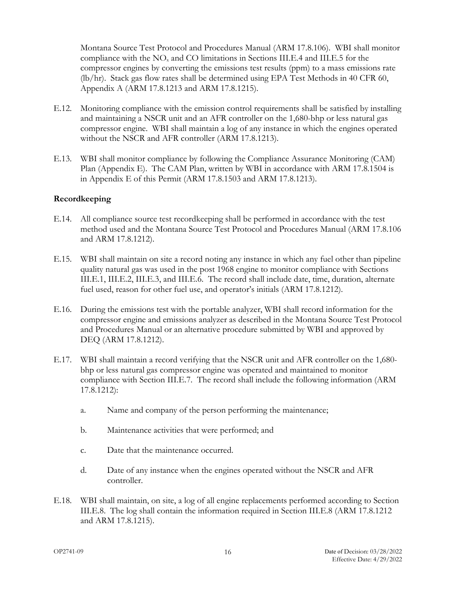Montana Source Test Protocol and Procedures Manual (ARM 17.8.106). WBI shall monitor compliance with the  $NO<sub>x</sub>$  and CO limitations in Sections III.E.4 and III.E.5 for the compressor engines by converting the emissions test results (ppm) to a mass emissions rate (lb/hr). Stack gas flow rates shall be determined using EPA Test Methods in 40 CFR 60, Appendix A (ARM 17.8.1213 and ARM 17.8.1215).

- <span id="page-19-3"></span>E.12. Monitoring compliance with the emission control requirements shall be satisfied by installing and maintaining a NSCR unit and an AFR controller on the 1,680-bhp or less natural gas compressor engine. WBI shall maintain a log of any instance in which the engines operated without the NSCR and AFR controller (ARM 17.8.1213).
- <span id="page-19-6"></span>E.13. WBI shall monitor compliance by following the Compliance Assurance Monitoring (CAM) Plan (Appendix E). The CAM Plan, written by WBI in accordance with ARM 17.8.1504 is in Appendix E of this Permit (ARM 17.8.1503 and ARM 17.8.1213).

#### **Recordkeeping**

- <span id="page-19-1"></span>E.14. All compliance source test recordkeeping shall be performed in accordance with the test method used and the Montana Source Test Protocol and Procedures Manual (ARM 17.8.106 and ARM 17.8.1212).
- <span id="page-19-0"></span>E.15. WBI shall maintain on site a record noting any instance in which any fuel other than pipeline quality natural gas was used in the post 1968 engine to monitor compliance with Sections III.E.1, III.E.2, III.E.3, and III.E.6. The record shall include date, time, duration, alternate fuel used, reason for other fuel use, and operator's initials (ARM 17.8.1212).
- <span id="page-19-2"></span>E.16. During the emissions test with the portable analyzer, WBI shall record information for the compressor engine and emissions analyzer as described in the Montana Source Test Protocol and Procedures Manual or an alternative procedure submitted by WBI and approved by DEQ (ARM 17.8.1212).
- <span id="page-19-4"></span>E.17. WBI shall maintain a record verifying that the NSCR unit and AFR controller on the 1,680 bhp or less natural gas compressor engine was operated and maintained to monitor compliance with Section III.E.7. The record shall include the following information (ARM 17.8.1212):
	- a. Name and company of the person performing the maintenance;
	- b. Maintenance activities that were performed; and
	- c. Date that the maintenance occurred.
	- d. Date of any instance when the engines operated without the NSCR and AFR controller.
- <span id="page-19-5"></span>E.18. WBI shall maintain, on site, a log of all engine replacements performed according to Section III.E.8. The log shall contain the information required in Section III.E.8 (ARM 17.8.1212 and ARM 17.8.1215).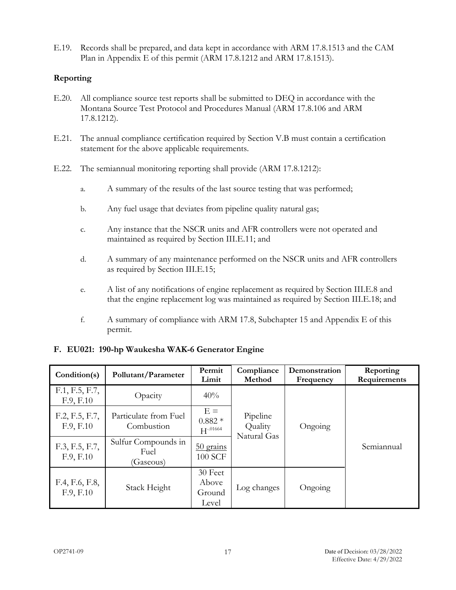<span id="page-20-4"></span>E.19. Records shall be prepared, and data kept in accordance with ARM 17.8.1513 and the CAM Plan in Appendix E of this permit (ARM 17.8.1212 and ARM 17.8.1513).

# **Reporting**

- <span id="page-20-3"></span>E.20. All compliance source test reports shall be submitted to DEQ in accordance with the Montana Source Test Protocol and Procedures Manual (ARM 17.8.106 and ARM 17.8.1212).
- <span id="page-20-1"></span>E.21. The annual compliance certification required by Section V.B must contain a certification statement for the above applicable requirements.
- <span id="page-20-2"></span>E.22. The semiannual monitoring reporting shall provide (ARM 17.8.1212):
	- a. A summary of the results of the last source testing that was performed;
	- b. Any fuel usage that deviates from pipeline quality natural gas;
	- c. Any instance that the NSCR units and AFR controllers were not operated and maintained as required by Section III.E.11; and
	- d. A summary of any maintenance performed on the NSCR units and AFR controllers as required by Section III.E.15;
	- e. A list of any notifications of engine replacement as required by Section III.E.8 and that the engine replacement log was maintained as required by Section III.E.18; and
	- f. A summary of compliance with ARM 17.8, Subchapter 15 and Appendix E of this permit.

# <span id="page-20-0"></span>**F. EU021: 190-hp Waukesha WAK-6 Generator Engine**

| Condition(s)                | Pollutant/Parameter                      | Permit<br>Limit                     | Compliance<br>Method               | Demonstration<br>Frequency | Reporting<br>Requirements |
|-----------------------------|------------------------------------------|-------------------------------------|------------------------------------|----------------------------|---------------------------|
| F.1, F.5, F.7,<br>F.9, F.10 | Opacity                                  | 40%                                 |                                    |                            |                           |
| F.2, F.5, F.7,<br>F.9, F.10 | Particulate from Fuel<br>Combustion      | $E =$<br>$0.882*$<br>$H^{-.01664}$  | Pipeline<br>Quality<br>Natural Gas | Ongoing                    | Semiannual                |
| F.3, F.5, F.7,<br>F.9, F.10 | Sulfur Compounds in<br>Fuel<br>(Gaseous) | $50$ grains<br>100 SCF              |                                    |                            |                           |
| F.4, F.6, F.8,<br>F.9, F.10 | Stack Height                             | 30 Feet<br>Above<br>Ground<br>Level | Log changes                        | Ongoing                    |                           |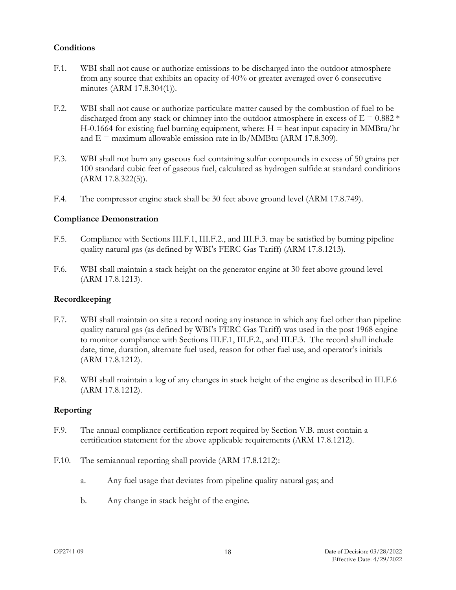# **Conditions**

- <span id="page-21-0"></span>F.1. WBI shall not cause or authorize emissions to be discharged into the outdoor atmosphere from any source that exhibits an opacity of 40% or greater averaged over 6 consecutive minutes (ARM 17.8.304(1)).
- <span id="page-21-5"></span>F.2. WBI shall not cause or authorize particulate matter caused by the combustion of fuel to be discharged from any stack or chimney into the outdoor atmosphere in excess of  $E = 0.882$  \*  $H-0.1664$  for existing fuel burning equipment, where:  $H =$  heat input capacity in MMBtu/hr and  $E =$  maximum allowable emission rate in lb/MMBtu (ARM 17.8.309).
- <span id="page-21-6"></span>F.3. WBI shall not burn any gaseous fuel containing sulfur compounds in excess of 50 grains per 100 standard cubic feet of gaseous fuel, calculated as hydrogen sulfide at standard conditions (ARM 17.8.322(5)).
- <span id="page-21-7"></span>F.4. The compressor engine stack shall be 30 feet above ground level (ARM 17.8.749).

#### **Compliance Demonstration**

- <span id="page-21-1"></span>F.5. Compliance with Sections III.F.1, III.F.2., and III.F.3. may be satisfied by burning pipeline quality natural gas (as defined by WBI's FERC Gas Tariff) (ARM 17.8.1213).
- <span id="page-21-8"></span>F.6. WBI shall maintain a stack height on the generator engine at 30 feet above ground level (ARM 17.8.1213).

#### **Recordkeeping**

- <span id="page-21-2"></span>F.7. WBI shall maintain on site a record noting any instance in which any fuel other than pipeline quality natural gas (as defined by WBI's FERC Gas Tariff) was used in the post 1968 engine to monitor compliance with Sections III.F.1, III.F.2., and III.F.3. The record shall include date, time, duration, alternate fuel used, reason for other fuel use, and operator's initials (ARM 17.8.1212).
- <span id="page-21-9"></span>F.8. WBI shall maintain a log of any changes in stack height of the engine as described in III.F.6 (ARM 17.8.1212).

#### **Reporting**

- <span id="page-21-3"></span>F.9. The annual compliance certification report required by Section V.B. must contain a certification statement for the above applicable requirements (ARM 17.8.1212).
- <span id="page-21-4"></span>F.10. The semiannual reporting shall provide (ARM 17.8.1212):
	- a. Any fuel usage that deviates from pipeline quality natural gas; and
	- b. Any change in stack height of the engine.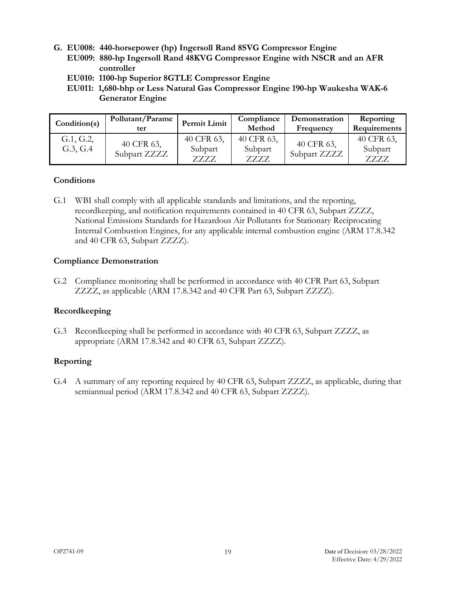- <span id="page-22-0"></span>**G. EU008: 440-horsepower (hp) Ingersoll Rand 8SVG Compressor Engine**
	- **EU009: 880-hp Ingersoll Rand 48KVG Compressor Engine with NSCR and an AFR controller**
	- **EU010: 1100-hp Superior 8GTLE Compressor Engine**
	- **EU011: 1,680-bhp or Less Natural Gas Compressor Engine 190-hp Waukesha WAK-6 Generator Engine**

| Condition(s)          | Pollutant/Parame<br>ter    | Permit Limit                      | Compliance<br>Method              | Demonstration<br>Frequency | Reporting<br>Requirements        |
|-----------------------|----------------------------|-----------------------------------|-----------------------------------|----------------------------|----------------------------------|
| G.1, G.2,<br>G.3, G.4 | 40 CFR 63,<br>Subpart ZZZZ | 40 CFR 63,<br>Subpart<br>7.7.7.7. | 40 CFR 63,<br>Subpart<br>7.7.7.7. | 40 CFR 63,<br>Subpart ZZZZ | 40 CFR 63,<br>Subpart<br>7.7.7.7 |

#### <span id="page-22-1"></span>**Conditions**

G.1 WBI shall comply with all applicable standards and limitations, and the reporting, recordkeeping, and notification requirements contained in 40 CFR 63, Subpart ZZZZ, National Emissions Standards for Hazardous Air Pollutants for Stationary Reciprocating Internal Combustion Engines, for any applicable internal combustion engine (ARM 17.8.342 and 40 CFR 63, Subpart ZZZZ).

#### <span id="page-22-2"></span>**Compliance Demonstration**

G.2 Compliance monitoring shall be performed in accordance with 40 CFR Part 63, Subpart ZZZZ, as applicable (ARM 17.8.342 and 40 CFR Part 63, Subpart ZZZZ).

#### <span id="page-22-3"></span>**Recordkeeping**

G.3 Recordkeeping shall be performed in accordance with 40 CFR 63, Subpart ZZZZ, as appropriate (ARM 17.8.342 and 40 CFR 63, Subpart ZZZZ).

#### <span id="page-22-4"></span>**Reporting**

G.4 A summary of any reporting required by 40 CFR 63, Subpart ZZZZ, as applicable, during that semiannual period (ARM 17.8.342 and 40 CFR 63, Subpart ZZZZ).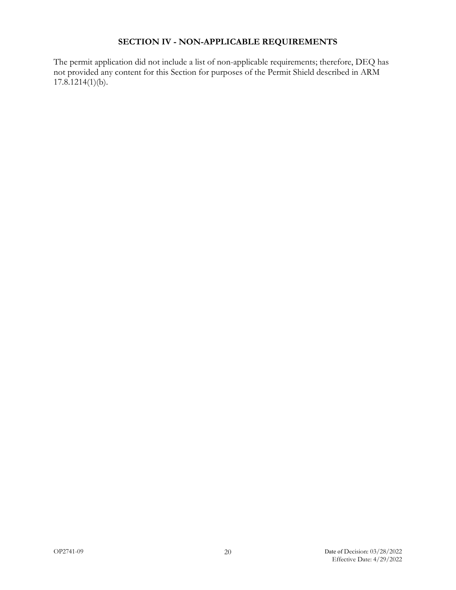# **SECTION IV - NON-APPLICABLE REQUIREMENTS**

<span id="page-23-0"></span>The permit application did not include a list of non-applicable requirements; therefore, DEQ has not provided any content for this Section for purposes of the Permit Shield described in ARM  $17.8.1214(1)(b)$ .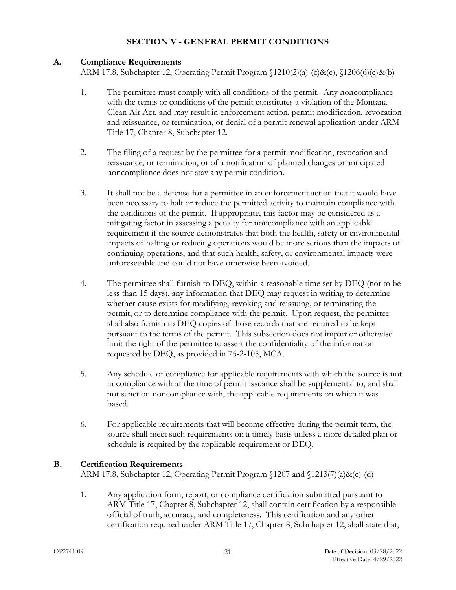# **SECTION V - GENERAL PERMIT CONDITIONS**

#### <span id="page-24-1"></span><span id="page-24-0"></span>**A. Compliance Requirements**

ARM 17.8, Subchapter 12, Operating Permit Program §1210(2)(a)-(c)&(e), §1206(6)(c)&(b)

- 1. The permittee must comply with all conditions of the permit. Any noncompliance with the terms or conditions of the permit constitutes a violation of the Montana Clean Air Act, and may result in enforcement action, permit modification, revocation and reissuance, or termination, or denial of a permit renewal application under ARM Title 17, Chapter 8, Subchapter 12.
- 2. The filing of a request by the permittee for a permit modification, revocation and reissuance, or termination, or of a notification of planned changes or anticipated noncompliance does not stay any permit condition.
- 3. It shall not be a defense for a permittee in an enforcement action that it would have been necessary to halt or reduce the permitted activity to maintain compliance with the conditions of the permit. If appropriate, this factor may be considered as a mitigating factor in assessing a penalty for noncompliance with an applicable requirement if the source demonstrates that both the health, safety or environmental impacts of halting or reducing operations would be more serious than the impacts of continuing operations, and that such health, safety, or environmental impacts were unforeseeable and could not have otherwise been avoided.
- 4. The permittee shall furnish to DEQ, within a reasonable time set by DEQ (not to be less than 15 days), any information that DEQ may request in writing to determine whether cause exists for modifying, revoking and reissuing, or terminating the permit, or to determine compliance with the permit. Upon request, the permittee shall also furnish to DEQ copies of those records that are required to be kept pursuant to the terms of the permit. This subsection does not impair or otherwise limit the right of the permittee to assert the confidentiality of the information requested by DEQ, as provided in 75-2-105, MCA.
- 5. Any schedule of compliance for applicable requirements with which the source is not in compliance with at the time of permit issuance shall be supplemental to, and shall not sanction noncompliance with, the applicable requirements on which it was based.
- 6. For applicable requirements that will become effective during the permit term, the source shall meet such requirements on a timely basis unless a more detailed plan or schedule is required by the applicable requirement or DEQ.

# <span id="page-24-2"></span>**B. Certification Requirements**

#### ARM 17.8, Subchapter 12, Operating Permit Program §1207 and §1213(7)(a)&(c)-(d)

1. Any application form, report, or compliance certification submitted pursuant to ARM Title 17, Chapter 8, Subchapter 12, shall contain certification by a responsible official of truth, accuracy, and completeness. This certification and any other certification required under ARM Title 17, Chapter 8, Subchapter 12, shall state that,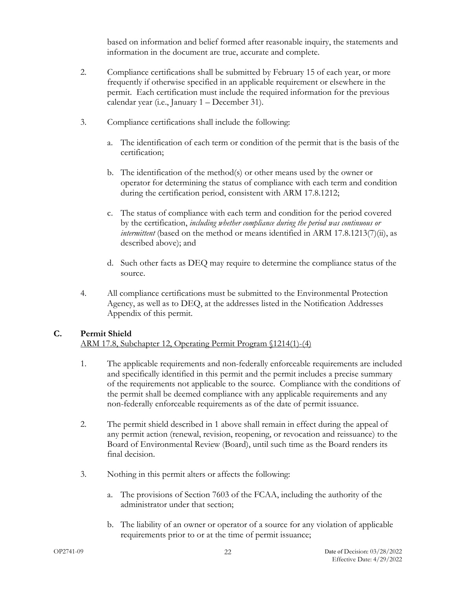based on information and belief formed after reasonable inquiry, the statements and information in the document are true, accurate and complete.

- 2. Compliance certifications shall be submitted by February 15 of each year, or more frequently if otherwise specified in an applicable requirement or elsewhere in the permit. Each certification must include the required information for the previous calendar year (i.e., January 1 – December 31).
- 3. Compliance certifications shall include the following:
	- a. The identification of each term or condition of the permit that is the basis of the certification;
	- b. The identification of the method(s) or other means used by the owner or operator for determining the status of compliance with each term and condition during the certification period, consistent with ARM 17.8.1212;
	- c. The status of compliance with each term and condition for the period covered by the certification, *including whether compliance during the period was continuous or intermittent* (based on the method or means identified in ARM 17.8.1213(7)(ii), as described above); and
	- d. Such other facts as DEQ may require to determine the compliance status of the source.
- 4. All compliance certifications must be submitted to the Environmental Protection Agency, as well as to DEQ, at the addresses listed in the Notification Addresses Appendix of this permit.

### <span id="page-25-0"></span>**C. Permit Shield**

ARM 17.8, Subchapter 12, Operating Permit Program §1214(1)-(4)

- 1. The applicable requirements and non-federally enforceable requirements are included and specifically identified in this permit and the permit includes a precise summary of the requirements not applicable to the source. Compliance with the conditions of the permit shall be deemed compliance with any applicable requirements and any non-federally enforceable requirements as of the date of permit issuance.
- 2. The permit shield described in 1 above shall remain in effect during the appeal of any permit action (renewal, revision, reopening, or revocation and reissuance) to the Board of Environmental Review (Board), until such time as the Board renders its final decision.
- 3. Nothing in this permit alters or affects the following:
	- a. The provisions of Section 7603 of the FCAA, including the authority of the administrator under that section;
	- b. The liability of an owner or operator of a source for any violation of applicable requirements prior to or at the time of permit issuance;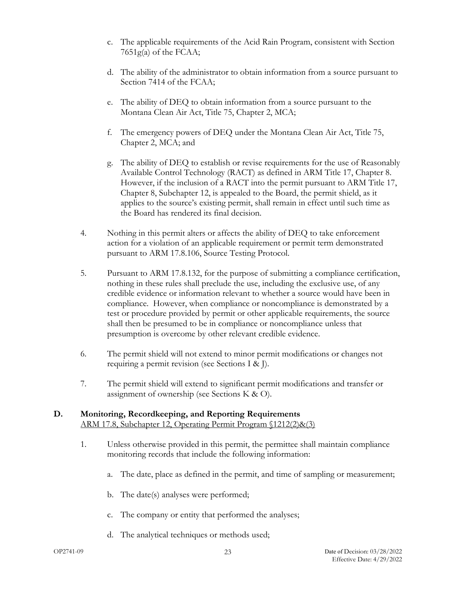- c. The applicable requirements of the Acid Rain Program, consistent with Section  $7651g(a)$  of the FCAA;
- d. The ability of the administrator to obtain information from a source pursuant to Section 7414 of the FCAA;
- e. The ability of DEQ to obtain information from a source pursuant to the Montana Clean Air Act, Title 75, Chapter 2, MCA;
- f. The emergency powers of DEQ under the Montana Clean Air Act, Title 75, Chapter 2, MCA; and
- g. The ability of DEQ to establish or revise requirements for the use of Reasonably Available Control Technology (RACT) as defined in ARM Title 17, Chapter 8. However, if the inclusion of a RACT into the permit pursuant to ARM Title 17, Chapter 8, Subchapter 12, is appealed to the Board, the permit shield, as it applies to the source's existing permit, shall remain in effect until such time as the Board has rendered its final decision.
- 4. Nothing in this permit alters or affects the ability of DEQ to take enforcement action for a violation of an applicable requirement or permit term demonstrated pursuant to ARM 17.8.106, Source Testing Protocol.
- 5. Pursuant to ARM 17.8.132, for the purpose of submitting a compliance certification, nothing in these rules shall preclude the use, including the exclusive use, of any credible evidence or information relevant to whether a source would have been in compliance. However, when compliance or noncompliance is demonstrated by a test or procedure provided by permit or other applicable requirements, the source shall then be presumed to be in compliance or noncompliance unless that presumption is overcome by other relevant credible evidence.
- 6. The permit shield will not extend to minor permit modifications or changes not requiring a permit revision (see Sections I & J).
- 7. The permit shield will extend to significant permit modifications and transfer or assignment of ownership (see Sections K & O).

# <span id="page-26-0"></span>**D. Monitoring, Recordkeeping, and Reporting Requirements** ARM 17.8, Subchapter 12, Operating Permit Program §1212(2)&(3)

- 1. Unless otherwise provided in this permit, the permittee shall maintain compliance monitoring records that include the following information:
	- a. The date, place as defined in the permit, and time of sampling or measurement;
	- b. The date(s) analyses were performed;
	- c. The company or entity that performed the analyses;
	- d. The analytical techniques or methods used;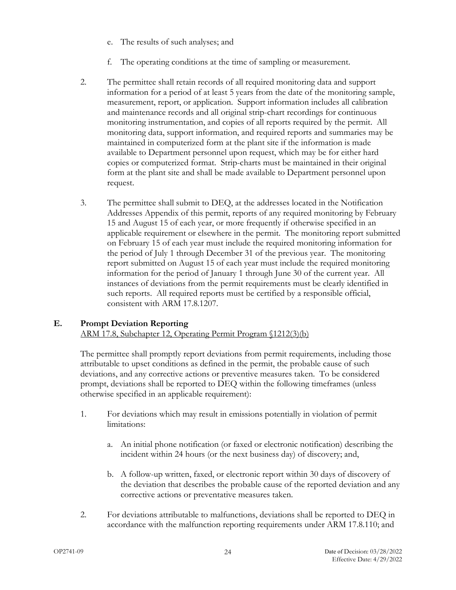- e. The results of such analyses; and
- f. The operating conditions at the time of sampling or measurement.
- 2. The permittee shall retain records of all required monitoring data and support information for a period of at least 5 years from the date of the monitoring sample, measurement, report, or application. Support information includes all calibration and maintenance records and all original strip-chart recordings for continuous monitoring instrumentation, and copies of all reports required by the permit. All monitoring data, support information, and required reports and summaries may be maintained in computerized form at the plant site if the information is made available to Department personnel upon request, which may be for either hard copies or computerized format. Strip-charts must be maintained in their original form at the plant site and shall be made available to Department personnel upon request.
- 3. The permittee shall submit to DEQ, at the addresses located in the Notification Addresses Appendix of this permit, reports of any required monitoring by February 15 and August 15 of each year, or more frequently if otherwise specified in an applicable requirement or elsewhere in the permit. The monitoring report submitted on February 15 of each year must include the required monitoring information for the period of July 1 through December 31 of the previous year. The monitoring report submitted on August 15 of each year must include the required monitoring information for the period of January 1 through June 30 of the current year. All instances of deviations from the permit requirements must be clearly identified in such reports. All required reports must be certified by a responsible official, consistent with ARM 17.8.1207.

# <span id="page-27-0"></span>**E. Prompt Deviation Reporting**

ARM 17.8, Subchapter 12, Operating Permit Program §1212(3)(b)

The permittee shall promptly report deviations from permit requirements, including those attributable to upset conditions as defined in the permit, the probable cause of such deviations, and any corrective actions or preventive measures taken. To be considered prompt, deviations shall be reported to DEQ within the following timeframes (unless otherwise specified in an applicable requirement):

- 1. For deviations which may result in emissions potentially in violation of permit limitations:
	- a. An initial phone notification (or faxed or electronic notification) describing the incident within 24 hours (or the next business day) of discovery; and,
	- b. A follow-up written, faxed, or electronic report within 30 days of discovery of the deviation that describes the probable cause of the reported deviation and any corrective actions or preventative measures taken.
- 2. For deviations attributable to malfunctions, deviations shall be reported to DEQ in accordance with the malfunction reporting requirements under ARM 17.8.110; and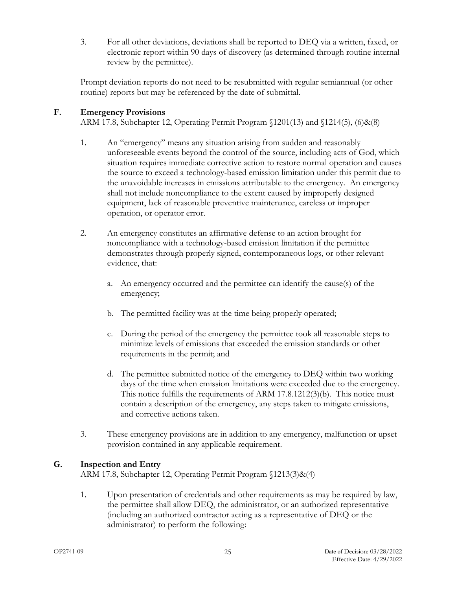3. For all other deviations, deviations shall be reported to DEQ via a written, faxed, or electronic report within 90 days of discovery (as determined through routine internal review by the permittee).

Prompt deviation reports do not need to be resubmitted with regular semiannual (or other routine) reports but may be referenced by the date of submittal.

# <span id="page-28-0"></span>**F. Emergency Provisions**

ARM 17.8, Subchapter 12, Operating Permit Program §1201(13) and §1214(5), (6)&(8)

- 1. An "emergency" means any situation arising from sudden and reasonably unforeseeable events beyond the control of the source, including acts of God, which situation requires immediate corrective action to restore normal operation and causes the source to exceed a technology-based emission limitation under this permit due to the unavoidable increases in emissions attributable to the emergency. An emergency shall not include noncompliance to the extent caused by improperly designed equipment, lack of reasonable preventive maintenance, careless or improper operation, or operator error.
- 2. An emergency constitutes an affirmative defense to an action brought for noncompliance with a technology-based emission limitation if the permittee demonstrates through properly signed, contemporaneous logs, or other relevant evidence, that:
	- a. An emergency occurred and the permittee can identify the cause(s) of the emergency;
	- b. The permitted facility was at the time being properly operated;
	- c. During the period of the emergency the permittee took all reasonable steps to minimize levels of emissions that exceeded the emission standards or other requirements in the permit; and
	- d. The permittee submitted notice of the emergency to DEQ within two working days of the time when emission limitations were exceeded due to the emergency. This notice fulfills the requirements of ARM 17.8.1212(3)(b). This notice must contain a description of the emergency, any steps taken to mitigate emissions, and corrective actions taken.
- 3. These emergency provisions are in addition to any emergency, malfunction or upset provision contained in any applicable requirement.

# <span id="page-28-1"></span>**G. Inspection and Entry**

ARM 17.8, Subchapter 12, Operating Permit Program §1213(3)&(4)

1. Upon presentation of credentials and other requirements as may be required by law, the permittee shall allow DEQ, the administrator, or an authorized representative (including an authorized contractor acting as a representative of DEQ or the administrator) to perform the following: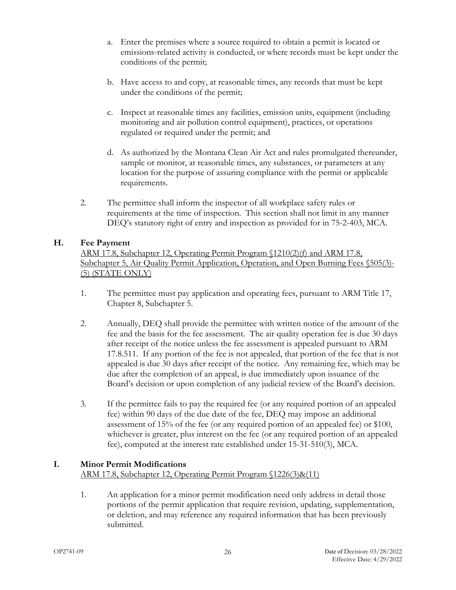- a. Enter the premises where a source required to obtain a permit is located or emissions-related activity is conducted, or where records must be kept under the conditions of the permit;
- b. Have access to and copy, at reasonable times, any records that must be kept under the conditions of the permit;
- c. Inspect at reasonable times any facilities, emission units, equipment (including monitoring and air pollution control equipment), practices, or operations regulated or required under the permit; and
- d. As authorized by the Montana Clean Air Act and rules promulgated thereunder, sample or monitor, at reasonable times, any substances, or parameters at any location for the purpose of assuring compliance with the permit or applicable requirements.
- 2. The permittee shall inform the inspector of all workplace safety rules or requirements at the time of inspection. This section shall not limit in any manner DEQ's statutory right of entry and inspection as provided for in 75-2-403, MCA.

# <span id="page-29-0"></span>**H. Fee Payment**

ARM 17.8, Subchapter 12, Operating Permit Program §1210(2)(f) and ARM 17.8, Subchapter 5, Air Quality Permit Application, Operation, and Open Burning Fees §505(3)- (5) (STATE ONLY)

- 1. The permittee must pay application and operating fees, pursuant to ARM Title 17, Chapter 8, Subchapter 5.
- 2. Annually, DEQ shall provide the permittee with written notice of the amount of the fee and the basis for the fee assessment. The air quality operation fee is due 30 days after receipt of the notice unless the fee assessment is appealed pursuant to ARM 17.8.511. If any portion of the fee is not appealed, that portion of the fee that is not appealed is due 30 days after receipt of the notice. Any remaining fee, which may be due after the completion of an appeal, is due immediately upon issuance of the Board's decision or upon completion of any judicial review of the Board's decision.
- 3. If the permittee fails to pay the required fee (or any required portion of an appealed fee) within 90 days of the due date of the fee, DEQ may impose an additional assessment of 15% of the fee (or any required portion of an appealed fee) or \$100, whichever is greater, plus interest on the fee (or any required portion of an appealed fee), computed at the interest rate established under 15-31-510(3), MCA.

# <span id="page-29-1"></span>**I. Minor Permit Modifications**

# ARM 17.8, Subchapter 12, Operating Permit Program §1226(3)&(11)

1. An application for a minor permit modification need only address in detail those portions of the permit application that require revision, updating, supplementation, or deletion, and may reference any required information that has been previously submitted.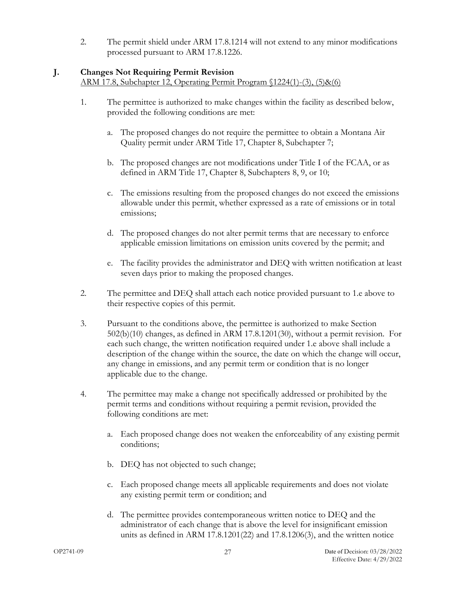2. The permit shield under ARM 17.8.1214 will not extend to any minor modifications processed pursuant to ARM 17.8.1226.

# <span id="page-30-0"></span>**J. Changes Not Requiring Permit Revision**

ARM 17.8, Subchapter 12, Operating Permit Program §1224(1)-(3), (5)&(6)

- 1. The permittee is authorized to make changes within the facility as described below, provided the following conditions are met:
	- a. The proposed changes do not require the permittee to obtain a Montana Air Quality permit under ARM Title 17, Chapter 8, Subchapter 7;
	- b. The proposed changes are not modifications under Title I of the FCAA, or as defined in ARM Title 17, Chapter 8, Subchapters 8, 9, or 10;
	- c. The emissions resulting from the proposed changes do not exceed the emissions allowable under this permit, whether expressed as a rate of emissions or in total emissions;
	- d. The proposed changes do not alter permit terms that are necessary to enforce applicable emission limitations on emission units covered by the permit; and
	- e. The facility provides the administrator and DEQ with written notification at least seven days prior to making the proposed changes.
- 2. The permittee and DEQ shall attach each notice provided pursuant to 1.e above to their respective copies of this permit.
- 3. Pursuant to the conditions above, the permittee is authorized to make Section 502(b)(10) changes, as defined in ARM 17.8.1201(30), without a permit revision. For each such change, the written notification required under 1.e above shall include a description of the change within the source, the date on which the change will occur, any change in emissions, and any permit term or condition that is no longer applicable due to the change.
- 4. The permittee may make a change not specifically addressed or prohibited by the permit terms and conditions without requiring a permit revision, provided the following conditions are met:
	- a. Each proposed change does not weaken the enforceability of any existing permit conditions;
	- b. DEQ has not objected to such change;
	- c. Each proposed change meets all applicable requirements and does not violate any existing permit term or condition; and
	- d. The permittee provides contemporaneous written notice to DEQ and the administrator of each change that is above the level for insignificant emission units as defined in ARM 17.8.1201(22) and 17.8.1206(3), and the written notice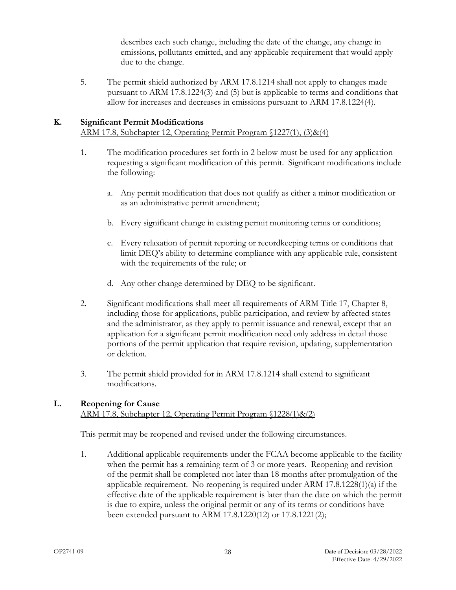describes each such change, including the date of the change, any change in emissions, pollutants emitted, and any applicable requirement that would apply due to the change.

5. The permit shield authorized by ARM 17.8.1214 shall not apply to changes made pursuant to ARM 17.8.1224(3) and (5) but is applicable to terms and conditions that allow for increases and decreases in emissions pursuant to ARM 17.8.1224(4).

# <span id="page-31-0"></span>**K. Significant Permit Modifications**

ARM 17.8, Subchapter 12, Operating Permit Program §1227(1), (3)&(4)

- 1. The modification procedures set forth in 2 below must be used for any application requesting a significant modification of this permit. Significant modifications include the following:
	- a. Any permit modification that does not qualify as either a minor modification or as an administrative permit amendment;
	- b. Every significant change in existing permit monitoring terms or conditions;
	- c. Every relaxation of permit reporting or recordkeeping terms or conditions that limit DEQ's ability to determine compliance with any applicable rule, consistent with the requirements of the rule; or
	- d. Any other change determined by DEQ to be significant.
- 2. Significant modifications shall meet all requirements of ARM Title 17, Chapter 8, including those for applications, public participation, and review by affected states and the administrator, as they apply to permit issuance and renewal, except that an application for a significant permit modification need only address in detail those portions of the permit application that require revision, updating, supplementation or deletion.
- 3. The permit shield provided for in ARM 17.8.1214 shall extend to significant modifications.

# <span id="page-31-1"></span>**L. Reopening for Cause**

ARM 17.8, Subchapter 12, Operating Permit Program §1228(1)&(2)

This permit may be reopened and revised under the following circumstances.

1. Additional applicable requirements under the FCAA become applicable to the facility when the permit has a remaining term of 3 or more years. Reopening and revision of the permit shall be completed not later than 18 months after promulgation of the applicable requirement. No reopening is required under ARM 17.8.1228(1)(a) if the effective date of the applicable requirement is later than the date on which the permit is due to expire, unless the original permit or any of its terms or conditions have been extended pursuant to ARM 17.8.1220(12) or 17.8.1221(2);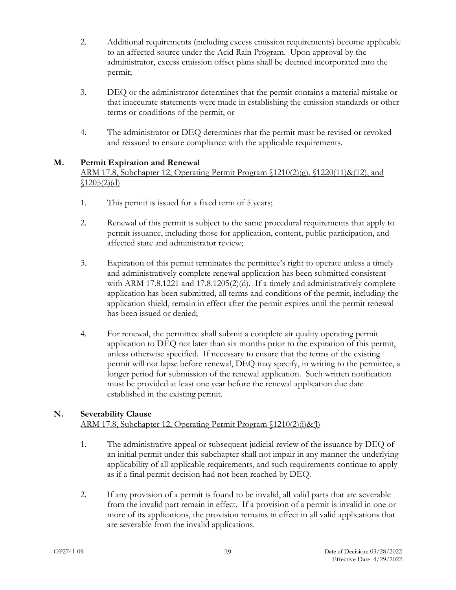- 2. Additional requirements (including excess emission requirements) become applicable to an affected source under the Acid Rain Program. Upon approval by the administrator, excess emission offset plans shall be deemed incorporated into the permit;
- 3. DEQ or the administrator determines that the permit contains a material mistake or that inaccurate statements were made in establishing the emission standards or other terms or conditions of the permit, or
- 4. The administrator or DEQ determines that the permit must be revised or revoked and reissued to ensure compliance with the applicable requirements.

# <span id="page-32-0"></span>**M. Permit Expiration and Renewal**

# ARM 17.8, Subchapter 12, Operating Permit Program  $(1210(2)(g), (1220(11)\&(12),$  and  $$1205(2)(d)$

- 1. This permit is issued for a fixed term of 5 years;
- 2. Renewal of this permit is subject to the same procedural requirements that apply to permit issuance, including those for application, content, public participation, and affected state and administrator review;
- 3. Expiration of this permit terminates the permittee's right to operate unless a timely and administratively complete renewal application has been submitted consistent with ARM 17.8.1221 and 17.8.1205(2)(d). If a timely and administratively complete application has been submitted, all terms and conditions of the permit, including the application shield, remain in effect after the permit expires until the permit renewal has been issued or denied;
- 4. For renewal, the permittee shall submit a complete air quality operating permit application to DEQ not later than six months prior to the expiration of this permit, unless otherwise specified. If necessary to ensure that the terms of the existing permit will not lapse before renewal, DEQ may specify, in writing to the permittee, a longer period for submission of the renewal application. Such written notification must be provided at least one year before the renewal application due date established in the existing permit.

#### <span id="page-32-1"></span>**N. Severability Clause** ARM 17.8, Subchapter 12, Operating Permit Program §1210(2)(i)&(l)

- 1. The administrative appeal or subsequent judicial review of the issuance by DEQ of an initial permit under this subchapter shall not impair in any manner the underlying applicability of all applicable requirements, and such requirements continue to apply as if a final permit decision had not been reached by DEQ.
- 2. If any provision of a permit is found to be invalid, all valid parts that are severable from the invalid part remain in effect. If a provision of a permit is invalid in one or more of its applications, the provision remains in effect in all valid applications that are severable from the invalid applications.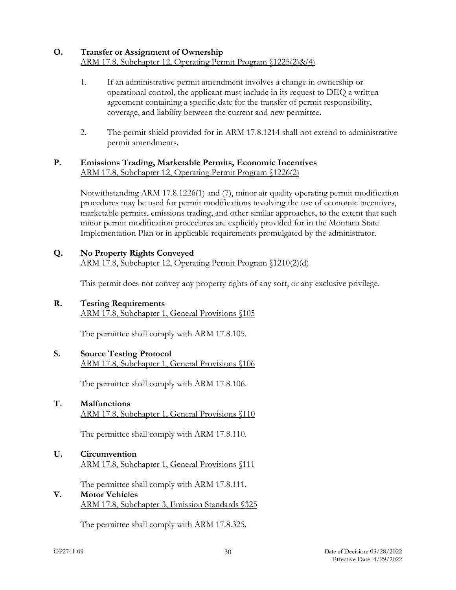# <span id="page-33-0"></span>**O. Transfer or Assignment of Ownership** ARM 17.8, Subchapter 12, Operating Permit Program §1225(2)&(4)

- 1. If an administrative permit amendment involves a change in ownership or operational control, the applicant must include in its request to DEQ a written agreement containing a specific date for the transfer of permit responsibility, coverage, and liability between the current and new permittee.
- 2. The permit shield provided for in ARM 17.8.1214 shall not extend to administrative permit amendments.

#### <span id="page-33-1"></span>**P. Emissions Trading, Marketable Permits, Economic Incentives** ARM 17.8, Subchapter 12, Operating Permit Program §1226(2)

Notwithstanding ARM 17.8.1226(1) and (7), minor air quality operating permit modification procedures may be used for permit modifications involving the use of economic incentives, marketable permits, emissions trading, and other similar approaches, to the extent that such minor permit modification procedures are explicitly provided for in the Montana State Implementation Plan or in applicable requirements promulgated by the administrator.

<span id="page-33-2"></span>**Q. No Property Rights Conveyed** ARM 17.8, Subchapter 12, Operating Permit Program §1210(2)(d)

This permit does not convey any property rights of any sort, or any exclusive privilege.

<span id="page-33-3"></span>**R. Testing Requirements** ARM 17.8, Subchapter 1, General Provisions §105

The permittee shall comply with ARM 17.8.105.

<span id="page-33-4"></span>**S. Source Testing Protocol** ARM 17.8, Subchapter 1, General Provisions §106

The permittee shall comply with ARM 17.8.106.

<span id="page-33-5"></span>**T. Malfunctions** ARM 17.8, Subchapter 1, General Provisions §110

The permittee shall comply with ARM 17.8.110.

<span id="page-33-6"></span>**U. Circumvention** ARM 17.8, Subchapter 1, General Provisions §111

The permittee shall comply with ARM 17.8.111.

<span id="page-33-7"></span>**V. Motor Vehicles** ARM 17.8, Subchapter 3, Emission Standards §325

The permittee shall comply with ARM 17.8.325.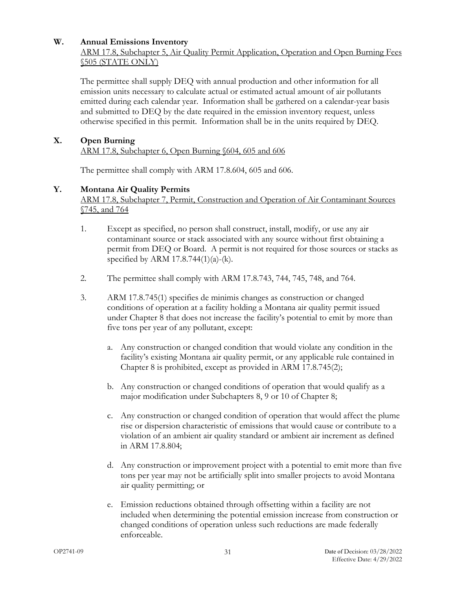#### <span id="page-34-0"></span>**W. Annual Emissions Inventory**

# ARM 17.8, Subchapter 5, Air Quality Permit Application, Operation and Open Burning Fees §505 (STATE ONLY)

The permittee shall supply DEQ with annual production and other information for all emission units necessary to calculate actual or estimated actual amount of air pollutants emitted during each calendar year. Information shall be gathered on a calendar-year basis and submitted to DEQ by the date required in the emission inventory request, unless otherwise specified in this permit. Information shall be in the units required by DEQ.

#### <span id="page-34-1"></span>**X. Open Burning**

ARM 17.8, Subchapter 6, Open Burning §604, 605 and 606

The permittee shall comply with ARM 17.8.604, 605 and 606.

#### <span id="page-34-2"></span>**Y. Montana Air Quality Permits**

ARM 17.8, Subchapter 7, Permit, Construction and Operation of Air Contaminant Sources §745, and 764

- 1. Except as specified, no person shall construct, install, modify, or use any air contaminant source or stack associated with any source without first obtaining a permit from DEQ or Board. A permit is not required for those sources or stacks as specified by ARM  $17.8.744(1)(a)-(k)$ .
- 2. The permittee shall comply with ARM 17.8.743, 744, 745, 748, and 764.
- 3. ARM 17.8.745(1) specifies de minimis changes as construction or changed conditions of operation at a facility holding a Montana air quality permit issued under Chapter 8 that does not increase the facility's potential to emit by more than five tons per year of any pollutant, except:
	- a. Any construction or changed condition that would violate any condition in the facility's existing Montana air quality permit, or any applicable rule contained in Chapter 8 is prohibited, except as provided in ARM 17.8.745(2);
	- b. Any construction or changed conditions of operation that would qualify as a major modification under Subchapters 8, 9 or 10 of Chapter 8;
	- c. Any construction or changed condition of operation that would affect the plume rise or dispersion characteristic of emissions that would cause or contribute to a violation of an ambient air quality standard or ambient air increment as defined in ARM 17.8.804;
	- d. Any construction or improvement project with a potential to emit more than five tons per year may not be artificially split into smaller projects to avoid Montana air quality permitting; or
	- e. Emission reductions obtained through offsetting within a facility are not included when determining the potential emission increase from construction or changed conditions of operation unless such reductions are made federally enforceable.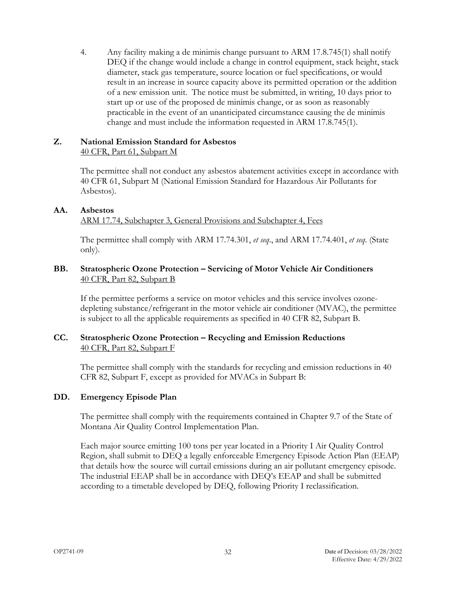4. Any facility making a de minimis change pursuant to ARM 17.8.745(1) shall notify DEQ if the change would include a change in control equipment, stack height, stack diameter, stack gas temperature, source location or fuel specifications, or would result in an increase in source capacity above its permitted operation or the addition of a new emission unit. The notice must be submitted, in writing, 10 days prior to start up or use of the proposed de minimis change, or as soon as reasonably practicable in the event of an unanticipated circumstance causing the de minimis change and must include the information requested in ARM 17.8.745(1).

#### <span id="page-35-0"></span>**Z. National Emission Standard for Asbestos** 40 CFR, Part 61, Subpart M

The permittee shall not conduct any asbestos abatement activities except in accordance with 40 CFR 61, Subpart M (National Emission Standard for Hazardous Air Pollutants for Asbestos).

# <span id="page-35-1"></span>**AA. Asbestos**

ARM 17.74, Subchapter 3, General Provisions and Subchapter 4, Fees

The permittee shall comply with ARM 17.74.301, *et seq*., and ARM 17.74.401, *et seq*. (State only).

#### <span id="page-35-2"></span>**BB. Stratospheric Ozone Protection – Servicing of Motor Vehicle Air Conditioners** 40 CFR, Part 82, Subpart B

If the permittee performs a service on motor vehicles and this service involves ozonedepleting substance/refrigerant in the motor vehicle air conditioner (MVAC), the permittee is subject to all the applicable requirements as specified in 40 CFR 82, Subpart B.

# <span id="page-35-3"></span>**CC. Stratospheric Ozone Protection – Recycling and Emission Reductions** 40 CFR, Part 82, Subpart F

The permittee shall comply with the standards for recycling and emission reductions in 40 CFR 82, Subpart F, except as provided for MVACs in Subpart B:

# <span id="page-35-4"></span>**DD. Emergency Episode Plan**

The permittee shall comply with the requirements contained in Chapter 9.7 of the State of Montana Air Quality Control Implementation Plan.

Each major source emitting 100 tons per year located in a Priority I Air Quality Control Region, shall submit to DEQ a legally enforceable Emergency Episode Action Plan (EEAP) that details how the source will curtail emissions during an air pollutant emergency episode. The industrial EEAP shall be in accordance with DEQ's EEAP and shall be submitted according to a timetable developed by DEQ, following Priority I reclassification.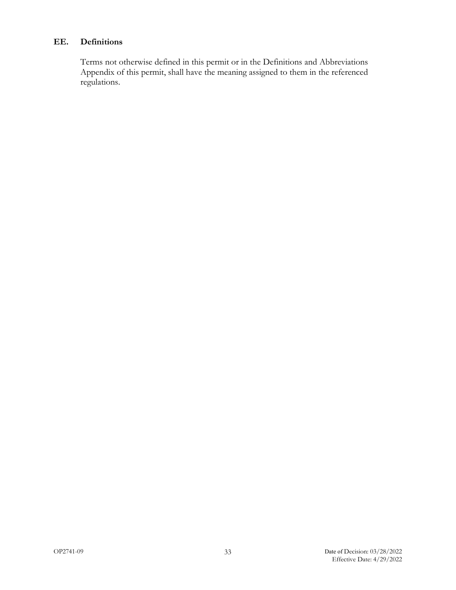# <span id="page-36-0"></span>**EE. Definitions**

Terms not otherwise defined in this permit or in the Definitions and Abbreviations Appendix of this permit, shall have the meaning assigned to them in the referenced regulations.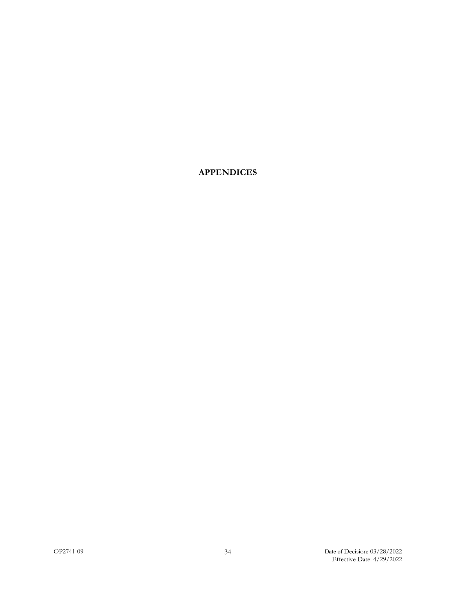**APPENDICES**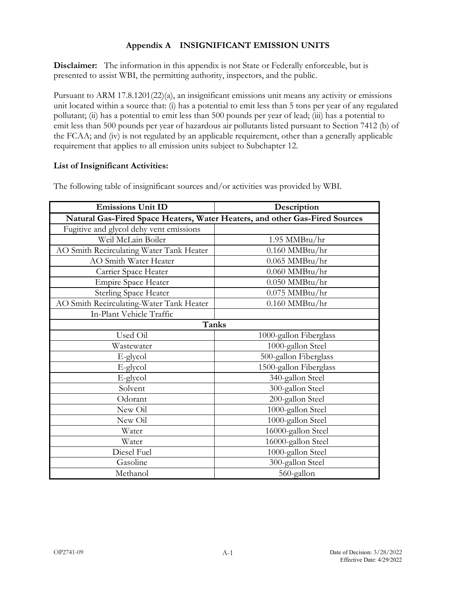# **Appendix A INSIGNIFICANT EMISSION UNITS**

<span id="page-39-0"></span>**Disclaimer:** The information in this appendix is not State or Federally enforceable, but is presented to assist WBI, the permitting authority, inspectors, and the public.

Pursuant to ARM 17.8.1201(22)(a), an insignificant emissions unit means any activity or emissions unit located within a source that: (i) has a potential to emit less than 5 tons per year of any regulated pollutant; (ii) has a potential to emit less than 500 pounds per year of lead; (iii) has a potential to emit less than 500 pounds per year of hazardous air pollutants listed pursuant to Section 7412 (b) of the FCAA; and (iv) is not regulated by an applicable requirement, other than a generally applicable requirement that applies to all emission units subject to Subchapter 12.

# **List of Insignificant Activities:**

| <b>Emissions Unit ID</b>                                                    | Description            |
|-----------------------------------------------------------------------------|------------------------|
| Natural Gas-Fired Space Heaters, Water Heaters, and other Gas-Fired Sources |                        |
| Fugitive and glycol dehy vent emissions                                     |                        |
| Weil McLain Boiler                                                          | $1.95$ MMBtu/hr        |
| AO Smith Recirculating Water Tank Heater                                    | $0.160$ MMBtu/hr       |
| AO Smith Water Heater                                                       | $0.065$ MMBtu/hr       |
| Carrier Space Heater                                                        | $0.060$ MMBtu/hr       |
| <b>Empire Space Heater</b>                                                  | $0.050$ MMBtu/hr       |
| <b>Sterling Space Heater</b>                                                | $0.075$ MMBtu/hr       |
| AO Smith Recirculating-Water Tank Heater                                    | $0.160$ MMBtu/hr       |
| In-Plant Vehicle Traffic                                                    |                        |
| Tanks                                                                       |                        |
| Used Oil                                                                    | 1000-gallon Fiberglass |
| Wastewater                                                                  | 1000-gallon Steel      |
| E-glycol                                                                    | 500-gallon Fiberglass  |
| E-glycol                                                                    | 1500-gallon Fiberglass |
| E-glycol                                                                    | 340-gallon Steel       |
| Solvent                                                                     | 300-gallon Steel       |
| Odorant                                                                     | 200-gallon Steel       |
| New Oil                                                                     | 1000-gallon Steel      |
| New Oil                                                                     | 1000-gallon Steel      |
| Water                                                                       | 16000-gallon Steel     |
| Water                                                                       | 16000-gallon Steel     |
| Diesel Fuel                                                                 | 1000-gallon Steel      |
| Gasoline                                                                    | 300-gallon Steel       |
| Methanol                                                                    | 560-gallon             |

The following table of insignificant sources and/or activities was provided by WBI.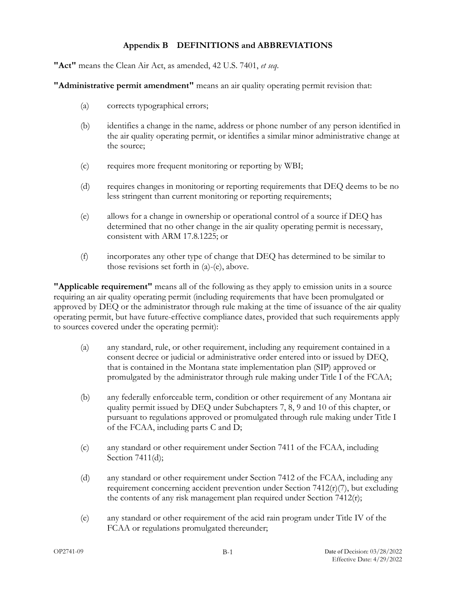# **Appendix B DEFINITIONS and ABBREVIATIONS**

<span id="page-40-0"></span>**"Act"** means the Clean Air Act, as amended, 42 U.S. 7401, *et seq*.

**"Administrative permit amendment"** means an air quality operating permit revision that:

- (a) corrects typographical errors;
- (b) identifies a change in the name, address or phone number of any person identified in the air quality operating permit, or identifies a similar minor administrative change at the source;
- (c) requires more frequent monitoring or reporting by WBI;
- (d) requires changes in monitoring or reporting requirements that DEQ deems to be no less stringent than current monitoring or reporting requirements;
- (e) allows for a change in ownership or operational control of a source if DEQ has determined that no other change in the air quality operating permit is necessary, consistent with ARM 17.8.1225; or
- (f) incorporates any other type of change that DEQ has determined to be similar to those revisions set forth in (a)-(e), above.

**"Applicable requirement"** means all of the following as they apply to emission units in a source requiring an air quality operating permit (including requirements that have been promulgated or approved by DEQ or the administrator through rule making at the time of issuance of the air quality operating permit, but have future-effective compliance dates, provided that such requirements apply to sources covered under the operating permit):

- (a) any standard, rule, or other requirement, including any requirement contained in a consent decree or judicial or administrative order entered into or issued by DEQ, that is contained in the Montana state implementation plan (SIP) approved or promulgated by the administrator through rule making under Title I of the FCAA;
- (b) any federally enforceable term, condition or other requirement of any Montana air quality permit issued by DEQ under Subchapters 7, 8, 9 and 10 of this chapter, or pursuant to regulations approved or promulgated through rule making under Title I of the FCAA, including parts C and D;
- (c) any standard or other requirement under Section 7411 of the FCAA, including Section 7411(d);
- (d) any standard or other requirement under Section 7412 of the FCAA, including any requirement concerning accident prevention under Section 7412(r)(7), but excluding the contents of any risk management plan required under Section 7412(r);
- (e) any standard or other requirement of the acid rain program under Title IV of the FCAA or regulations promulgated thereunder;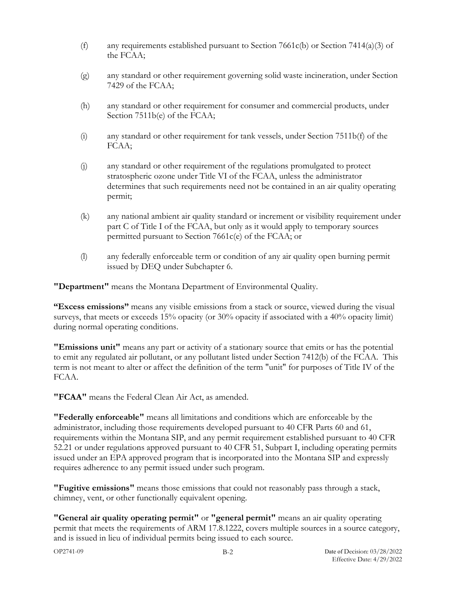- (f) any requirements established pursuant to Section 7661c(b) or Section 7414(a)(3) of the FCAA;
- (g) any standard or other requirement governing solid waste incineration, under Section 7429 of the FCAA;
- (h) any standard or other requirement for consumer and commercial products, under Section 7511b(e) of the FCAA;
- (i) any standard or other requirement for tank vessels, under Section 7511b(f) of the FCAA;
- (j) any standard or other requirement of the regulations promulgated to protect stratospheric ozone under Title VI of the FCAA, unless the administrator determines that such requirements need not be contained in an air quality operating permit;
- (k) any national ambient air quality standard or increment or visibility requirement under part C of Title I of the FCAA, but only as it would apply to temporary sources permitted pursuant to Section 7661c(e) of the FCAA; or
- (l) any federally enforceable term or condition of any air quality open burning permit issued by DEQ under Subchapter 6.

**"Department"** means the Montana Department of Environmental Quality.

**"Excess emissions"** means any visible emissions from a stack or source, viewed during the visual surveys, that meets or exceeds 15% opacity (or 30% opacity if associated with a 40% opacity limit) during normal operating conditions.

**"Emissions unit"** means any part or activity of a stationary source that emits or has the potential to emit any regulated air pollutant, or any pollutant listed under Section 7412(b) of the FCAA. This term is not meant to alter or affect the definition of the term "unit" for purposes of Title IV of the FCAA.

**"FCAA"** means the Federal Clean Air Act, as amended.

**"Federally enforceable"** means all limitations and conditions which are enforceable by the administrator, including those requirements developed pursuant to 40 CFR Parts 60 and 61, requirements within the Montana SIP, and any permit requirement established pursuant to 40 CFR 52.21 or under regulations approved pursuant to 40 CFR 51, Subpart I, including operating permits issued under an EPA approved program that is incorporated into the Montana SIP and expressly requires adherence to any permit issued under such program.

**"Fugitive emissions"** means those emissions that could not reasonably pass through a stack, chimney, vent, or other functionally equivalent opening.

**"General air quality operating permit"** or **"general permit"** means an air quality operating permit that meets the requirements of ARM 17.8.1222, covers multiple sources in a source category, and is issued in lieu of individual permits being issued to each source.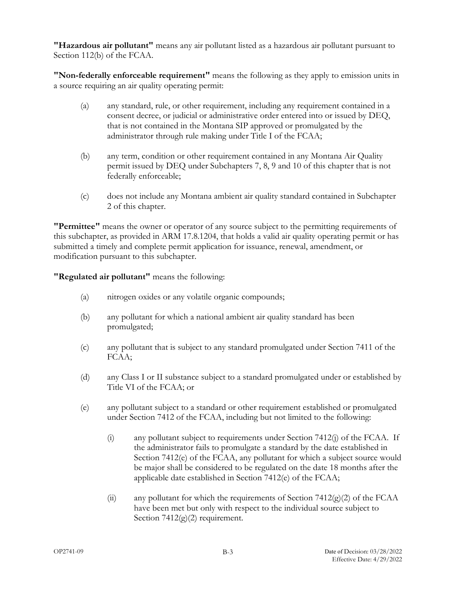**"Hazardous air pollutant"** means any air pollutant listed as a hazardous air pollutant pursuant to Section 112(b) of the FCAA.

**"Non-federally enforceable requirement"** means the following as they apply to emission units in a source requiring an air quality operating permit:

- (a) any standard, rule, or other requirement, including any requirement contained in a consent decree, or judicial or administrative order entered into or issued by DEQ, that is not contained in the Montana SIP approved or promulgated by the administrator through rule making under Title I of the FCAA;
- (b) any term, condition or other requirement contained in any Montana Air Quality permit issued by DEQ under Subchapters 7, 8, 9 and 10 of this chapter that is not federally enforceable;
- (c) does not include any Montana ambient air quality standard contained in Subchapter 2 of this chapter.

**"Permittee"** means the owner or operator of any source subject to the permitting requirements of this subchapter, as provided in ARM 17.8.1204, that holds a valid air quality operating permit or has submitted a timely and complete permit application for issuance, renewal, amendment, or modification pursuant to this subchapter.

**"Regulated air pollutant"** means the following:

- (a) nitrogen oxides or any volatile organic compounds;
- (b) any pollutant for which a national ambient air quality standard has been promulgated;
- (c) any pollutant that is subject to any standard promulgated under Section 7411 of the FCAA;
- (d) any Class I or II substance subject to a standard promulgated under or established by Title VI of the FCAA; or
- (e) any pollutant subject to a standard or other requirement established or promulgated under Section 7412 of the FCAA, including but not limited to the following:
	- (i) any pollutant subject to requirements under Section 7412(j) of the FCAA. If the administrator fails to promulgate a standard by the date established in Section 7412(e) of the FCAA, any pollutant for which a subject source would be major shall be considered to be regulated on the date 18 months after the applicable date established in Section 7412(e) of the FCAA;
	- (ii) any pollutant for which the requirements of Section 7412(g)(2) of the FCAA have been met but only with respect to the individual source subject to Section  $7412(g)(2)$  requirement.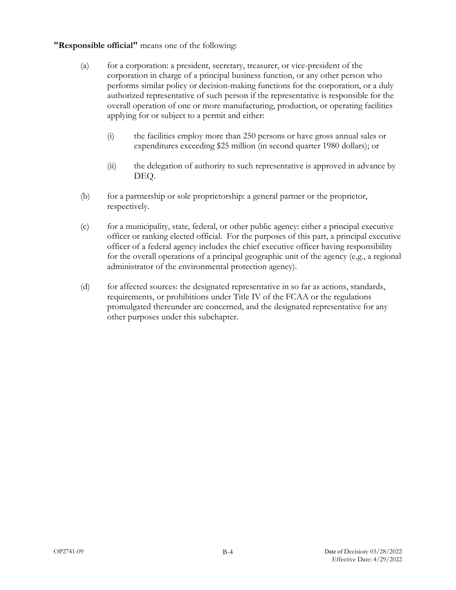# **"Responsible official"** means one of the following:

- (a) for a corporation: a president, secretary, treasurer, or vice-president of the corporation in charge of a principal business function, or any other person who performs similar policy or decision-making functions for the corporation, or a duly authorized representative of such person if the representative is responsible for the overall operation of one or more manufacturing, production, or operating facilities applying for or subject to a permit and either:
	- (i) the facilities employ more than 250 persons or have gross annual sales or expenditures exceeding \$25 million (in second quarter 1980 dollars); or
	- (ii) the delegation of authority to such representative is approved in advance by DEQ.
- (b) for a partnership or sole proprietorship: a general partner or the proprietor, respectively.
- (c) for a municipality, state, federal, or other public agency: either a principal executive officer or ranking elected official. For the purposes of this part, a principal executive officer of a federal agency includes the chief executive officer having responsibility for the overall operations of a principal geographic unit of the agency (e.g., a regional administrator of the environmental protection agency).
- (d) for affected sources: the designated representative in so far as actions, standards, requirements, or prohibitions under Title IV of the FCAA or the regulations promulgated thereunder are concerned, and the designated representative for any other purposes under this subchapter.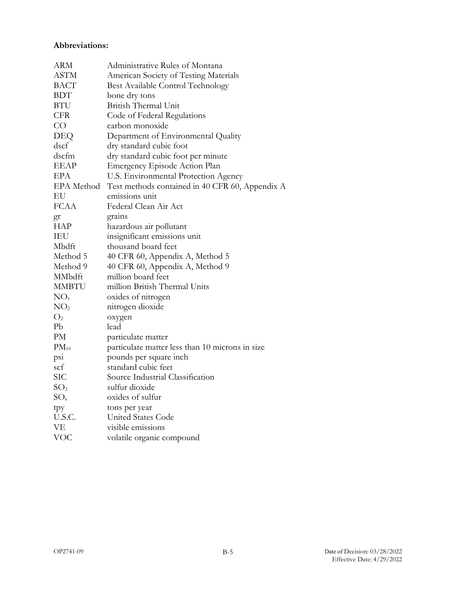# **Abbreviations:**

| <b>ARM</b>        | Administrative Rules of Montana                 |
|-------------------|-------------------------------------------------|
| <b>ASTM</b>       | American Society of Testing Materials           |
| <b>BACT</b>       | Best Available Control Technology               |
| <b>BDT</b>        | bone dry tons                                   |
| BTU               | British Thermal Unit                            |
| <b>CFR</b>        | Code of Federal Regulations                     |
| CO                | carbon monoxide                                 |
| DEQ               | Department of Environmental Quality             |
| dscf              | dry standard cubic foot                         |
| dscfm             | dry standard cubic foot per minute              |
| <b>EEAP</b>       | Emergency Episode Action Plan                   |
| EPA               | U.S. Environmental Protection Agency            |
| <b>EPA</b> Method | Test methods contained in 40 CFR 60, Appendix A |
| EU                | emissions unit                                  |
| <b>FCAA</b>       | Federal Clean Air Act                           |
| gr                | grains                                          |
| <b>HAP</b>        | hazardous air pollutant                         |
| IEU               | insignificant emissions unit                    |
| Mbdft             | thousand board feet                             |
| Method 5          | 40 CFR 60, Appendix A, Method 5                 |
| Method 9          | 40 CFR 60, Appendix A, Method 9                 |
| MMbdft            | million board feet                              |
| <b>MMBTU</b>      | million British Thermal Units                   |
| NO <sub>x</sub>   | oxides of nitrogen                              |
| NO <sub>2</sub>   | nitrogen dioxide                                |
| O <sub>2</sub>    | oxygen                                          |
| Pb                | lead                                            |
| PM                | particulate matter                              |
| $PM_{10}$         | particulate matter less than 10 microns in size |
| psi               | pounds per square inch                          |
| scf               | standard cubic feet                             |
| <b>SIC</b>        | Source Industrial Classification                |
| SO <sub>2</sub>   | sulfur dioxide                                  |
| $SO_{x}$          | oxides of sulfur                                |
| tpy               | tons per year                                   |
| U.S.C.            | United States Code                              |
| VE                | visible emissions                               |
| <b>VOC</b>        | volatile organic compound                       |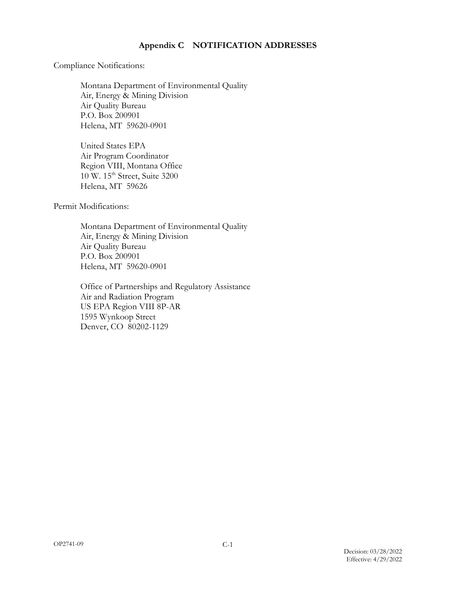# **Appendix C NOTIFICATION ADDRESSES**

<span id="page-45-0"></span>Compliance Notifications:

Montana Department of Environmental Quality Air, Energy & Mining Division Air Quality Bureau P.O. Box 200901 Helena, MT 59620-0901

United States EPA Air Program Coordinator Region VIII, Montana Office 10 W. 15<sup>th</sup> Street, Suite 3200 Helena, MT 59626

Permit Modifications:

Montana Department of Environmental Quality Air, Energy & Mining Division Air Quality Bureau P.O. Box 200901 Helena, MT 59620-0901

Office of Partnerships and Regulatory Assistance Air and Radiation Program US EPA Region VIII 8P-AR 1595 Wynkoop Street Denver, CO 80202-1129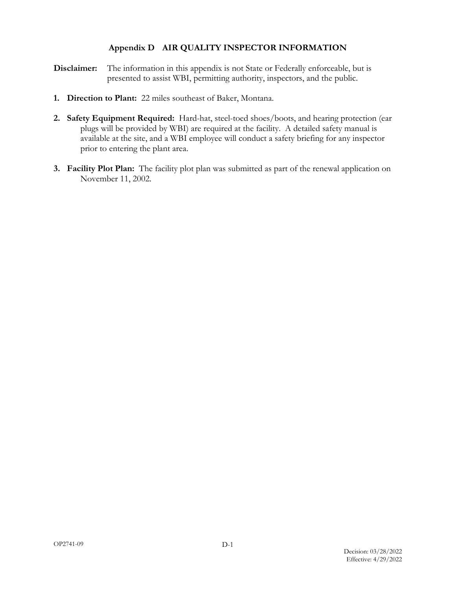# **Appendix D AIR QUALITY INSPECTOR INFORMATION**

- <span id="page-46-0"></span>**Disclaimer:** The information in this appendix is not State or Federally enforceable, but is presented to assist WBI, permitting authority, inspectors, and the public.
- **1. Direction to Plant:** 22 miles southeast of Baker, Montana.
- **2. Safety Equipment Required:** Hard-hat, steel-toed shoes/boots, and hearing protection (ear plugs will be provided by WBI) are required at the facility. A detailed safety manual is available at the site, and a WBI employee will conduct a safety briefing for any inspector prior to entering the plant area.
- **3. Facility Plot Plan:** The facility plot plan was submitted as part of the renewal application on November 11, 2002.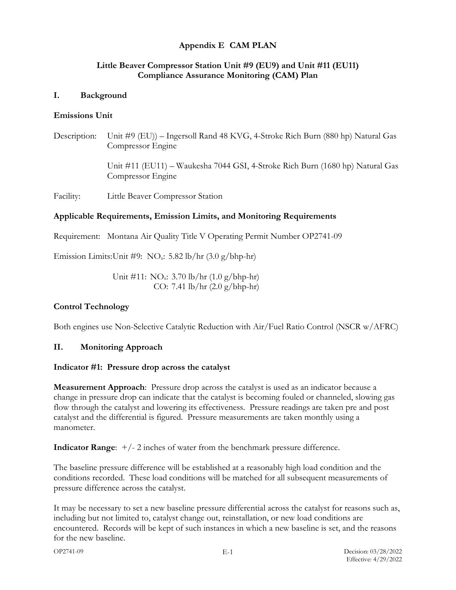# **Appendix E CAM PLAN**

# <span id="page-47-0"></span>**Little Beaver Compressor Station Unit #9 (EU9) and Unit #11 (EU11) Compliance Assurance Monitoring (CAM) Plan**

#### **I. Background**

#### **Emissions Unit**

Description: Unit #9 (EU)) – Ingersoll Rand 48 KVG, 4-Stroke Rich Burn (880 hp) Natural Gas Compressor Engine

> Unit #11 (EU11) – Waukesha 7044 GSI, 4-Stroke Rich Burn (1680 hp) Natural Gas Compressor Engine

Facility: Little Beaver Compressor Station

#### **Applicable Requirements, Emission Limits, and Monitoring Requirements**

Requirement: Montana Air Quality Title V Operating Permit Number OP2741-09

Emission Limits: Unit #9:  $NO_x$ : 5.82 lb/hr (3.0 g/bhp-hr)

Unit #11: NOx: 3.70 lb/hr (1.0 g/bhp-hr) CO: 7.41 lb/hr (2.0 g/bhp-hr)

#### **Control Technology**

Both engines use Non-Selective Catalytic Reduction with Air/Fuel Ratio Control (NSCR w/AFRC)

#### **II. Monitoring Approach**

#### **Indicator #1: Pressure drop across the catalyst**

**Measurement Approach**: Pressure drop across the catalyst is used as an indicator because a change in pressure drop can indicate that the catalyst is becoming fouled or channeled, slowing gas flow through the catalyst and lowering its effectiveness. Pressure readings are taken pre and post catalyst and the differential is figured. Pressure measurements are taken monthly using a manometer.

**Indicator Range:**  $+/-2$  inches of water from the benchmark pressure difference.

The baseline pressure difference will be established at a reasonably high load condition and the conditions recorded. These load conditions will be matched for all subsequent measurements of pressure difference across the catalyst.

It may be necessary to set a new baseline pressure differential across the catalyst for reasons such as, including but not limited to, catalyst change out, reinstallation, or new load conditions are encountered. Records will be kept of such instances in which a new baseline is set, and the reasons for the new baseline.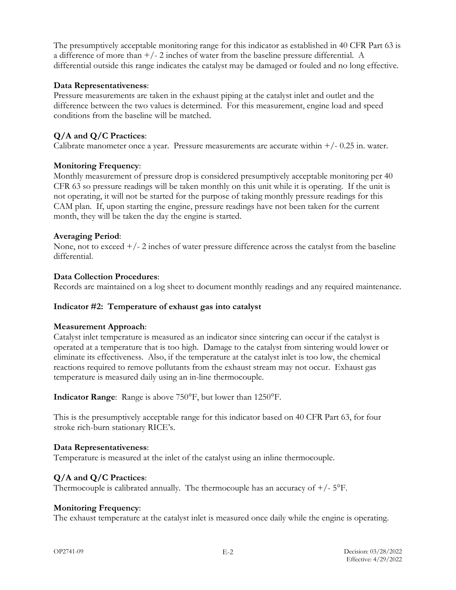The presumptively acceptable monitoring range for this indicator as established in 40 CFR Part 63 is a difference of more than  $+/- 2$  inches of water from the baseline pressure differential. A differential outside this range indicates the catalyst may be damaged or fouled and no long effective.

# **Data Representativeness**:

Pressure measurements are taken in the exhaust piping at the catalyst inlet and outlet and the difference between the two values is determined. For this measurement, engine load and speed conditions from the baseline will be matched.

# **Q/A and Q/C Practices**:

Calibrate manometer once a year. Pressure measurements are accurate within  $+/-0.25$  in. water.

# **Monitoring Frequency**:

Monthly measurement of pressure drop is considered presumptively acceptable monitoring per 40 CFR 63 so pressure readings will be taken monthly on this unit while it is operating. If the unit is not operating, it will not be started for the purpose of taking monthly pressure readings for this CAM plan. If, upon starting the engine, pressure readings have not been taken for the current month, they will be taken the day the engine is started.

# **Averaging Period**:

None, not to exceed  $+/-2$  inches of water pressure difference across the catalyst from the baseline differential.

# **Data Collection Procedures**:

Records are maintained on a log sheet to document monthly readings and any required maintenance.

# **Indicator #2: Temperature of exhaust gas into catalyst**

# **Measurement Approach**:

Catalyst inlet temperature is measured as an indicator since sintering can occur if the catalyst is operated at a temperature that is too high. Damage to the catalyst from sintering would lower or eliminate its effectiveness. Also, if the temperature at the catalyst inlet is too low, the chemical reactions required to remove pollutants from the exhaust stream may not occur. Exhaust gas temperature is measured daily using an in-line thermocouple.

**Indicator Range**: Range is above 750°F, but lower than 1250°F.

This is the presumptively acceptable range for this indicator based on 40 CFR Part 63, for four stroke rich-burn stationary RICE's.

# **Data Representativeness**:

Temperature is measured at the inlet of the catalyst using an inline thermocouple.

# **Q/A and Q/C Practices**:

Thermocouple is calibrated annually. The thermocouple has an accuracy of  $+/-5$ °F.

# **Monitoring Frequency**:

The exhaust temperature at the catalyst inlet is measured once daily while the engine is operating.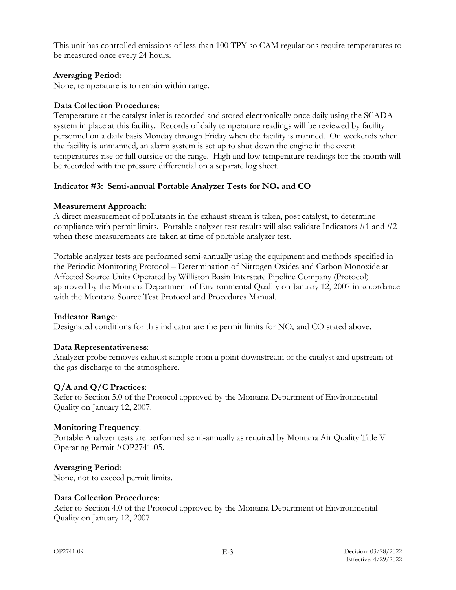This unit has controlled emissions of less than 100 TPY so CAM regulations require temperatures to be measured once every 24 hours.

# **Averaging Period**:

None, temperature is to remain within range.

#### **Data Collection Procedures**:

Temperature at the catalyst inlet is recorded and stored electronically once daily using the SCADA system in place at this facility. Records of daily temperature readings will be reviewed by facility personnel on a daily basis Monday through Friday when the facility is manned. On weekends when the facility is unmanned, an alarm system is set up to shut down the engine in the event temperatures rise or fall outside of the range. High and low temperature readings for the month will be recorded with the pressure differential on a separate log sheet.

# **Indicator #3: Semi-annual Portable Analyzer Tests for NOx and CO**

#### **Measurement Approach**:

A direct measurement of pollutants in the exhaust stream is taken, post catalyst, to determine compliance with permit limits. Portable analyzer test results will also validate Indicators #1 and #2 when these measurements are taken at time of portable analyzer test.

Portable analyzer tests are performed semi-annually using the equipment and methods specified in the Periodic Monitoring Protocol – Determination of Nitrogen Oxides and Carbon Monoxide at Affected Source Units Operated by Williston Basin Interstate Pipeline Company (Protocol) approved by the Montana Department of Environmental Quality on January 12, 2007 in accordance with the Montana Source Test Protocol and Procedures Manual.

#### **Indicator Range**:

Designated conditions for this indicator are the permit limits for  $NO<sub>x</sub>$  and CO stated above.

#### **Data Representativeness**:

Analyzer probe removes exhaust sample from a point downstream of the catalyst and upstream of the gas discharge to the atmosphere.

# **Q/A and Q/C Practices**:

Refer to Section 5.0 of the Protocol approved by the Montana Department of Environmental Quality on January 12, 2007.

# **Monitoring Frequency**:

Portable Analyzer tests are performed semi-annually as required by Montana Air Quality Title V Operating Permit #OP2741-05.

# **Averaging Period**:

None, not to exceed permit limits.

#### **Data Collection Procedures**:

Refer to Section 4.0 of the Protocol approved by the Montana Department of Environmental Quality on January 12, 2007.